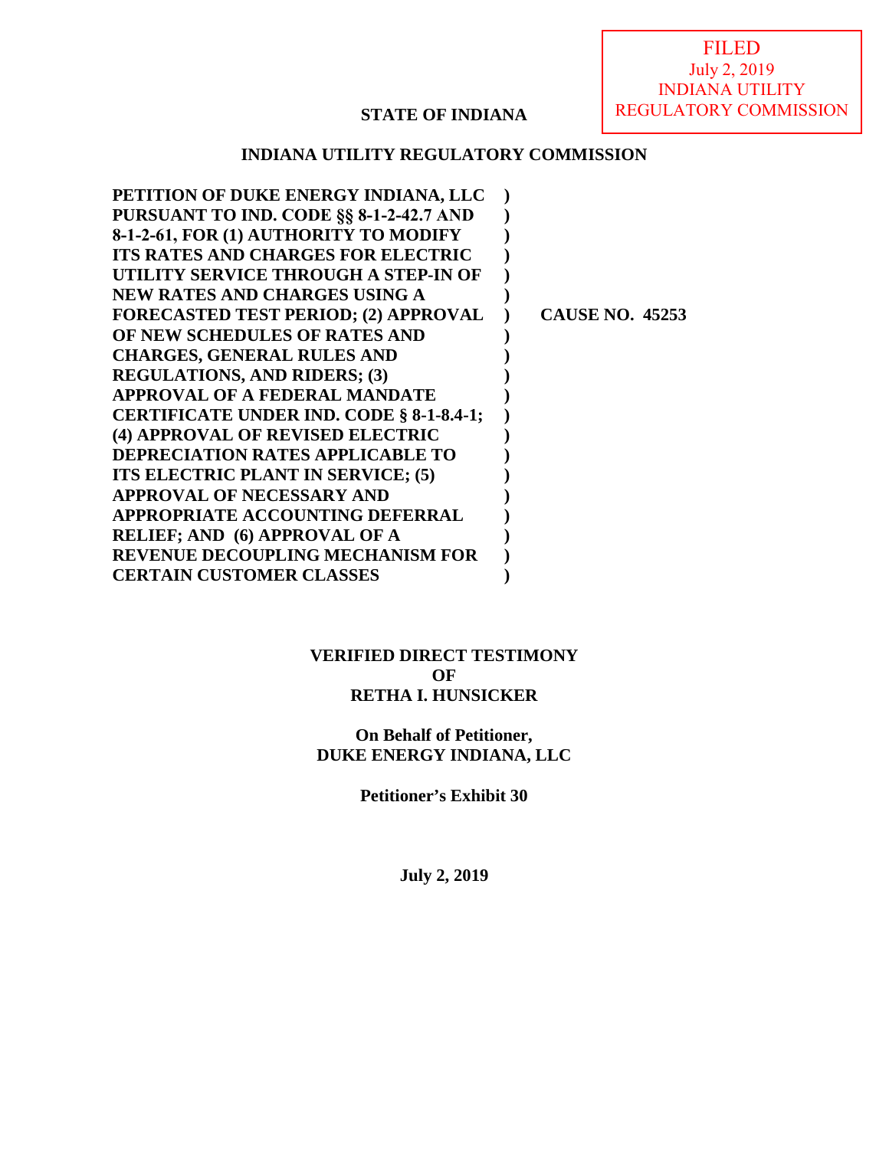FILED July 2, 2019 INDIANA UTILITY REGULATORY COMMISSION

## **STATE OF INDIANA**

### **INDIANA UTILITY REGULATORY COMMISSION**

| <b>CAUSE NO. 45253</b> |
|------------------------|
|                        |
|                        |
|                        |
|                        |
|                        |
|                        |
|                        |
|                        |
|                        |
|                        |
|                        |
|                        |
|                        |
|                        |

### **VERIFIED DIRECT TESTIMONY OF RETHA I. HUNSICKER**

## **On Behalf of Petitioner, DUKE ENERGY INDIANA, LLC**

**Petitioner's Exhibit 30** 

**July 2, 2019**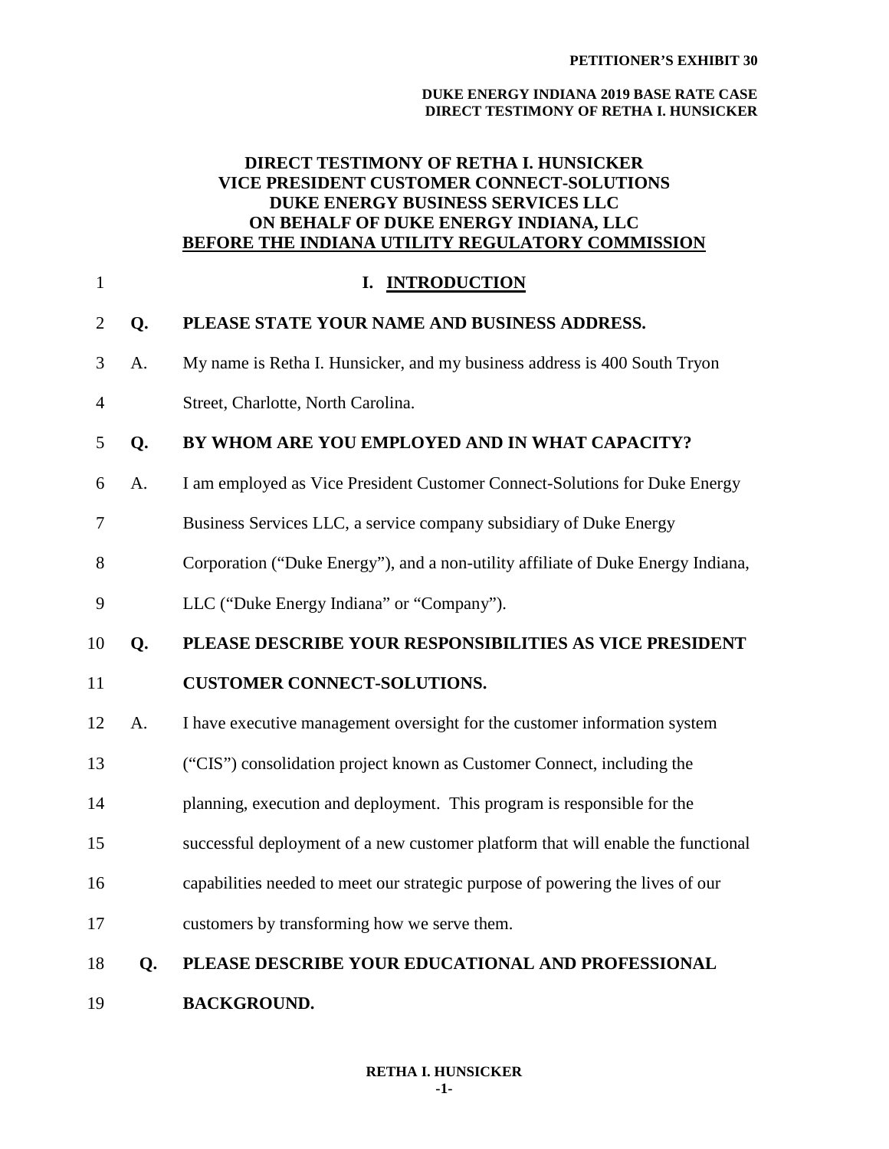#### **DUKE ENERGY INDIANA 2019 BASE RATE CASE DIRECT TESTIMONY OF RETHA I. HUNSICKER**

### **DIRECT TESTIMONY OF RETHA I. HUNSICKER VICE PRESIDENT CUSTOMER CONNECT-SOLUTIONS DUKE ENERGY BUSINESS SERVICES LLC ON BEHALF OF DUKE ENERGY INDIANA, LLC BEFORE THE INDIANA UTILITY REGULATORY COMMISSION**

| $\mathbf{1}$   |    | <b>INTRODUCTION</b><br>I.                                                        |
|----------------|----|----------------------------------------------------------------------------------|
| $\overline{2}$ | Q. | PLEASE STATE YOUR NAME AND BUSINESS ADDRESS.                                     |
| 3              | A. | My name is Retha I. Hunsicker, and my business address is 400 South Tryon        |
| $\overline{4}$ |    | Street, Charlotte, North Carolina.                                               |
| 5              | Q. | BY WHOM ARE YOU EMPLOYED AND IN WHAT CAPACITY?                                   |
| 6              | A. | I am employed as Vice President Customer Connect-Solutions for Duke Energy       |
| 7              |    | Business Services LLC, a service company subsidiary of Duke Energy               |
| 8              |    | Corporation ("Duke Energy"), and a non-utility affiliate of Duke Energy Indiana, |
| 9              |    | LLC ("Duke Energy Indiana" or "Company").                                        |
| 10             | Q. | PLEASE DESCRIBE YOUR RESPONSIBILITIES AS VICE PRESIDENT                          |
| 11             |    | <b>CUSTOMER CONNECT-SOLUTIONS.</b>                                               |
| 12             | A. | I have executive management oversight for the customer information system        |
| 13             |    | ("CIS") consolidation project known as Customer Connect, including the           |
| 14             |    | planning, execution and deployment. This program is responsible for the          |
| 15             |    | successful deployment of a new customer platform that will enable the functional |
| 16             |    | capabilities needed to meet our strategic purpose of powering the lives of our   |
| 17             |    | customers by transforming how we serve them.                                     |
| 18             | Q. | PLEASE DESCRIBE YOUR EDUCATIONAL AND PROFESSIONAL                                |
| 19             |    | <b>BACKGROUND.</b>                                                               |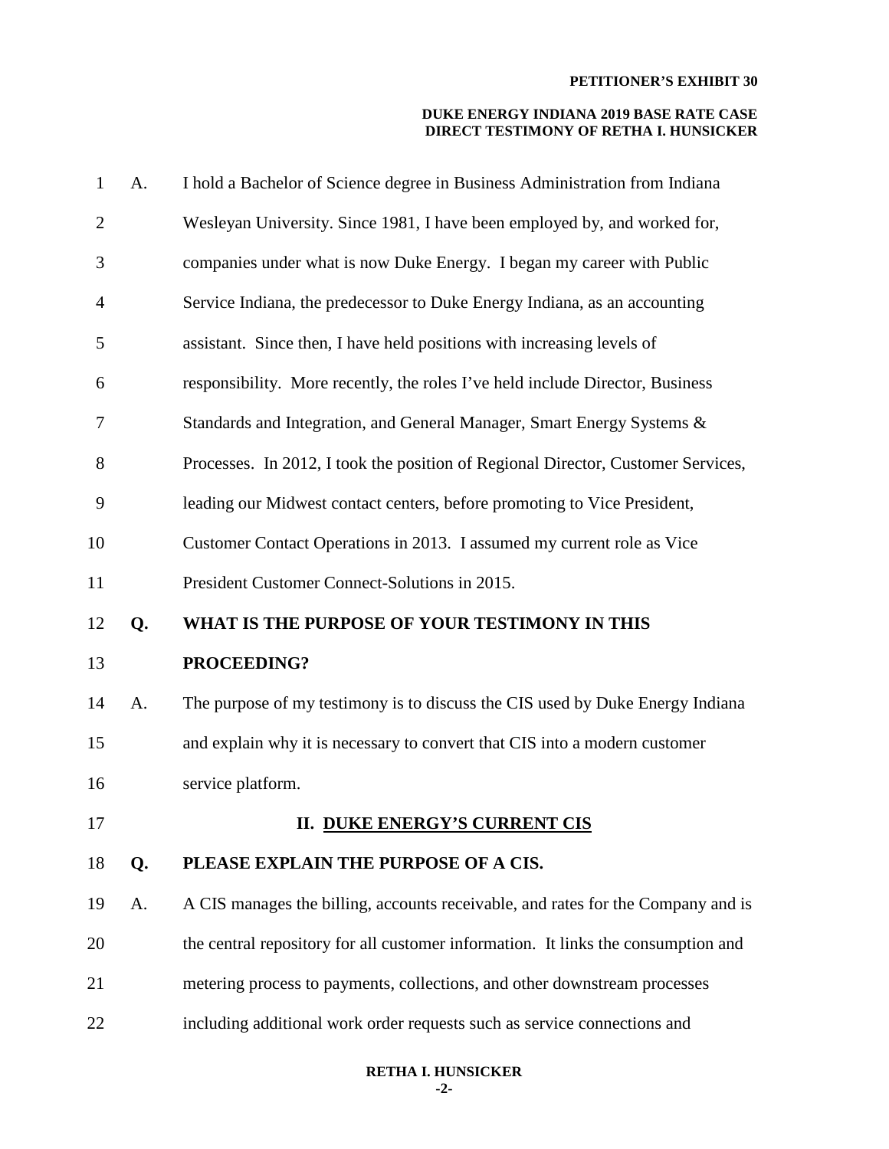| $\mathbf{1}$   | A. | I hold a Bachelor of Science degree in Business Administration from Indiana       |
|----------------|----|-----------------------------------------------------------------------------------|
| $\mathbf{2}$   |    | Wesleyan University. Since 1981, I have been employed by, and worked for,         |
| 3              |    | companies under what is now Duke Energy. I began my career with Public            |
| $\overline{4}$ |    | Service Indiana, the predecessor to Duke Energy Indiana, as an accounting         |
| 5              |    | assistant. Since then, I have held positions with increasing levels of            |
| 6              |    | responsibility. More recently, the roles I've held include Director, Business     |
| 7              |    | Standards and Integration, and General Manager, Smart Energy Systems &            |
| 8              |    | Processes. In 2012, I took the position of Regional Director, Customer Services,  |
| 9              |    | leading our Midwest contact centers, before promoting to Vice President,          |
| 10             |    | Customer Contact Operations in 2013. I assumed my current role as Vice            |
| 11             |    | President Customer Connect-Solutions in 2015.                                     |
| 12             | Q. | WHAT IS THE PURPOSE OF YOUR TESTIMONY IN THIS                                     |
| 13             |    | PROCEEDING?                                                                       |
| 14             | A. | The purpose of my testimony is to discuss the CIS used by Duke Energy Indiana     |
| 15             |    | and explain why it is necessary to convert that CIS into a modern customer        |
| 16             |    | service platform.                                                                 |
| 17             |    | <b>II. DUKE ENERGY'S CURRENT CIS</b>                                              |
| 18             | Q. | PLEASE EXPLAIN THE PURPOSE OF A CIS.                                              |
| 19             | A. | A CIS manages the billing, accounts receivable, and rates for the Company and is  |
| 20             |    | the central repository for all customer information. It links the consumption and |
| 21             |    | metering process to payments, collections, and other downstream processes         |
| 22             |    | including additional work order requests such as service connections and          |
|                |    |                                                                                   |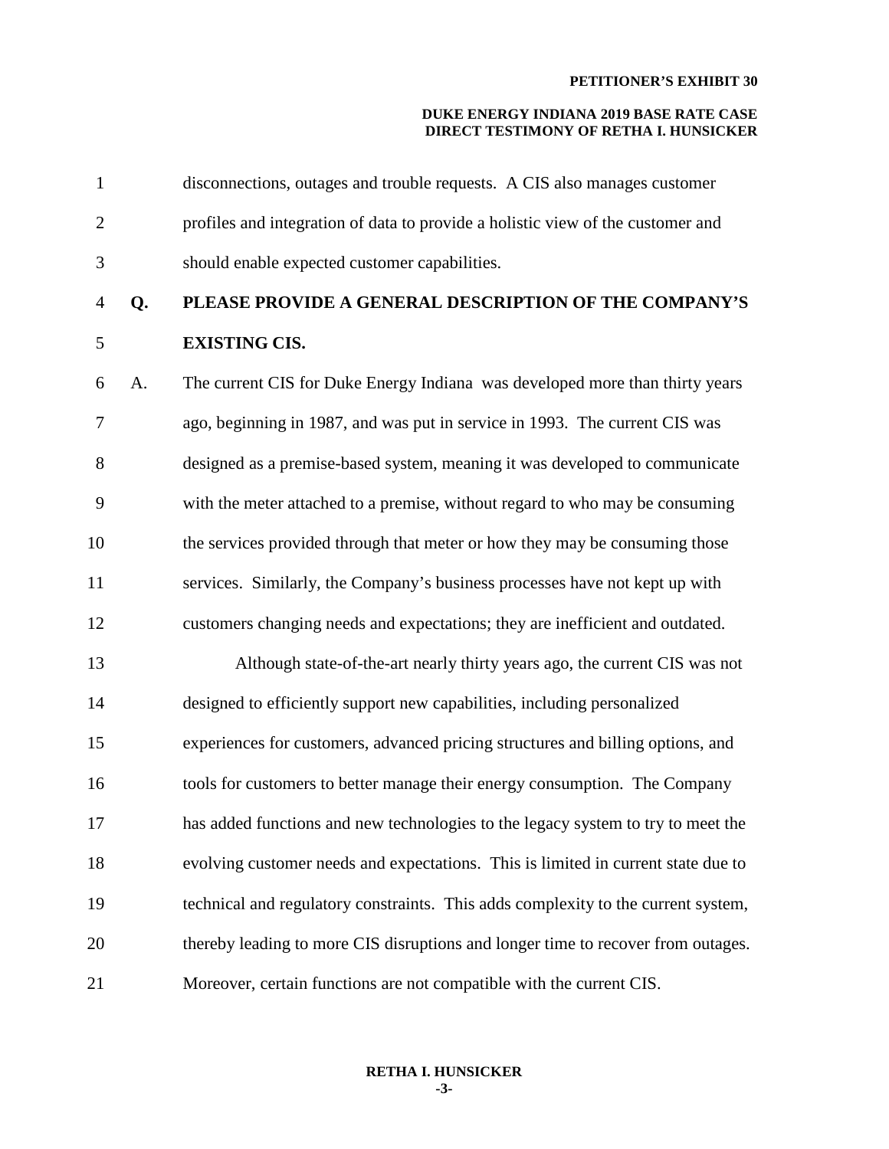#### **DUKE ENERGY INDIANA 2019 BASE RATE CASE DIRECT TESTIMONY OF RETHA I. HUNSICKER**

| $\mathbf{1}$   |    | disconnections, outages and trouble requests. A CIS also manages customer         |
|----------------|----|-----------------------------------------------------------------------------------|
| $\overline{2}$ |    | profiles and integration of data to provide a holistic view of the customer and   |
| 3              |    | should enable expected customer capabilities.                                     |
| $\overline{4}$ | Q. | PLEASE PROVIDE A GENERAL DESCRIPTION OF THE COMPANY'S                             |
| $\mathfrak s$  |    | <b>EXISTING CIS.</b>                                                              |
| 6              | A. | The current CIS for Duke Energy Indiana was developed more than thirty years      |
| 7              |    | ago, beginning in 1987, and was put in service in 1993. The current CIS was       |
| $8\,$          |    | designed as a premise-based system, meaning it was developed to communicate       |
| 9              |    | with the meter attached to a premise, without regard to who may be consuming      |
| 10             |    | the services provided through that meter or how they may be consuming those       |
| 11             |    | services. Similarly, the Company's business processes have not kept up with       |
| 12             |    | customers changing needs and expectations; they are inefficient and outdated.     |
| 13             |    | Although state-of-the-art nearly thirty years ago, the current CIS was not        |
| 14             |    | designed to efficiently support new capabilities, including personalized          |
| 15             |    | experiences for customers, advanced pricing structures and billing options, and   |
| 16             |    | tools for customers to better manage their energy consumption. The Company        |
| 17             |    | has added functions and new technologies to the legacy system to try to meet the  |
| 18             |    | evolving customer needs and expectations. This is limited in current state due to |
| 19             |    | technical and regulatory constraints. This adds complexity to the current system, |
| 20             |    | thereby leading to more CIS disruptions and longer time to recover from outages.  |
| 21             |    | Moreover, certain functions are not compatible with the current CIS.              |

#### **RETHA I. HUNSICKER -3-**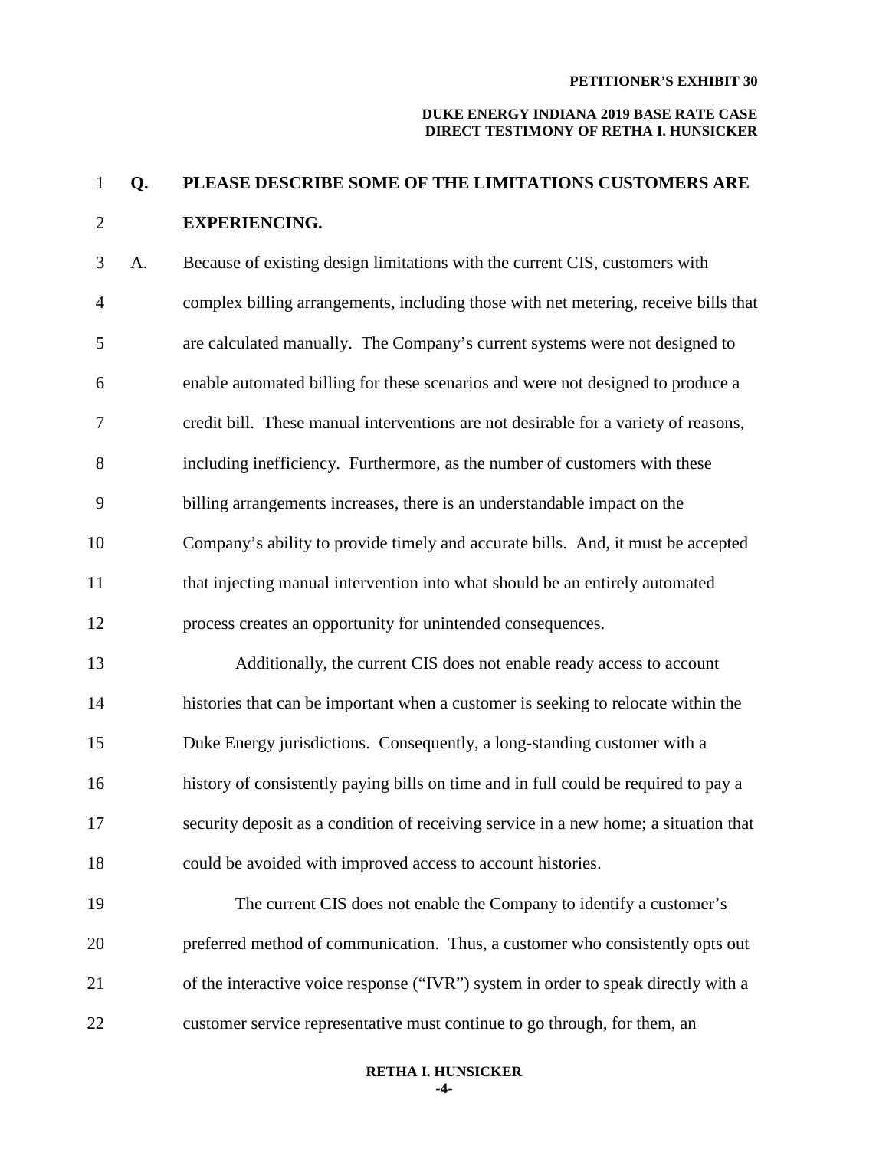#### **DUKE ENERGY INDIANA 2019 BASE RATE CASE DIRECT TESTIMONY OF RETHA I. HUNSICKER**

# 1 **Q. PLEASE DESCRIBE SOME OF THE LIMITATIONS CUSTOMERS ARE**  2 **EXPERIENCING.**

3 A. Because of existing design limitations with the current CIS, customers with 4 complex billing arrangements, including those with net metering, receive bills that 5 are calculated manually. The Company's current systems were not designed to 6 enable automated billing for these scenarios and were not designed to produce a 7 credit bill. These manual interventions are not desirable for a variety of reasons, 8 including inefficiency. Furthermore, as the number of customers with these 9 billing arrangements increases, there is an understandable impact on the 10 Company's ability to provide timely and accurate bills. And, it must be accepted 11 that injecting manual intervention into what should be an entirely automated 12 process creates an opportunity for unintended consequences. 13 Additionally, the current CIS does not enable ready access to account 14 histories that can be important when a customer is seeking to relocate within the 15 Duke Energy jurisdictions. Consequently, a long-standing customer with a 16 history of consistently paying bills on time and in full could be required to pay a 17 security deposit as a condition of receiving service in a new home; a situation that 18 could be avoided with improved access to account histories. 19 The current CIS does not enable the Company to identify a customer's 20 preferred method of communication. Thus, a customer who consistently opts out

22 customer service representative must continue to go through, for them, an

21 of the interactive voice response ("IVR") system in order to speak directly with a

#### **RETHA I. HUNSICKER -4-**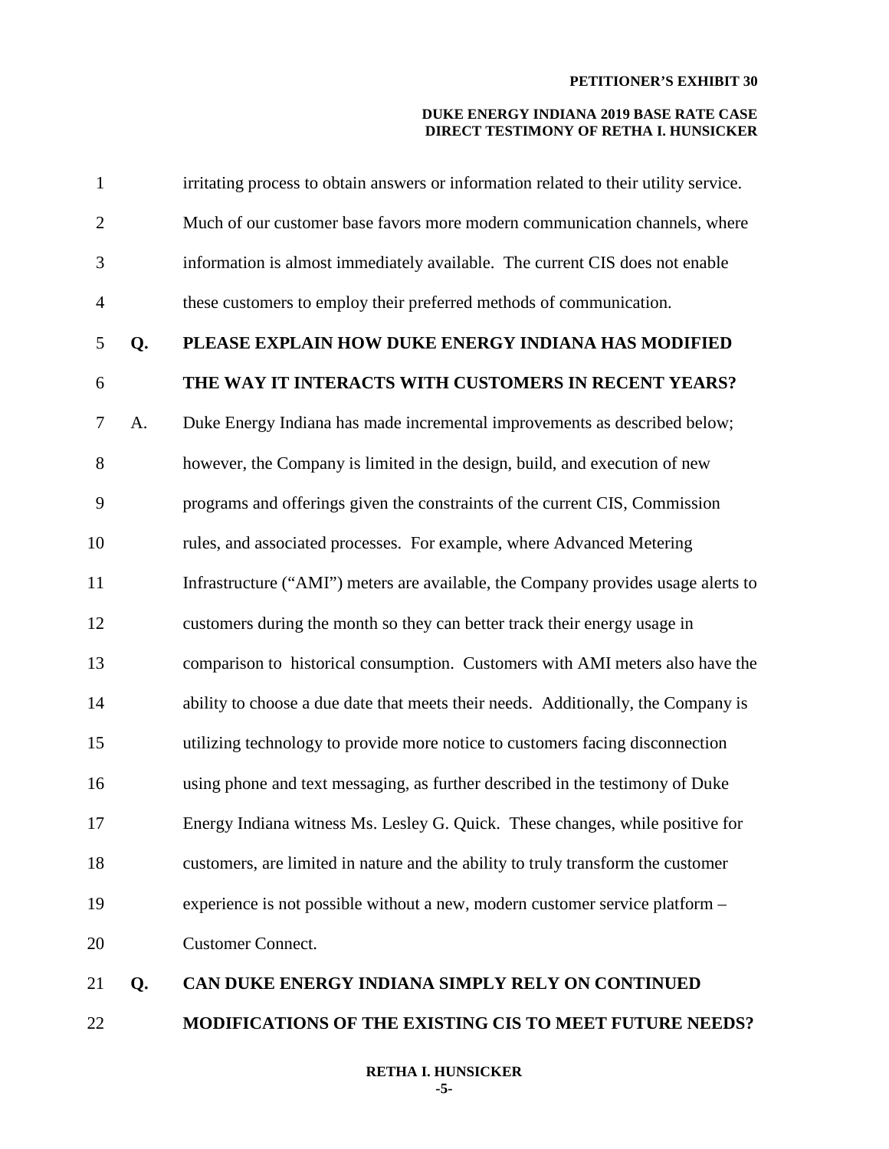#### **DUKE ENERGY INDIANA 2019 BASE RATE CASE DIRECT TESTIMONY OF RETHA I. HUNSICKER**

| 1              |    | irritating process to obtain answers or information related to their utility service. |
|----------------|----|---------------------------------------------------------------------------------------|
| $\overline{2}$ |    | Much of our customer base favors more modern communication channels, where            |
| 3              |    | information is almost immediately available. The current CIS does not enable          |
| $\overline{4}$ |    | these customers to employ their preferred methods of communication.                   |
| 5              | Q. | PLEASE EXPLAIN HOW DUKE ENERGY INDIANA HAS MODIFIED                                   |
| 6              |    | THE WAY IT INTERACTS WITH CUSTOMERS IN RECENT YEARS?                                  |
| $\tau$         | A. | Duke Energy Indiana has made incremental improvements as described below;             |
| $8\,$          |    | however, the Company is limited in the design, build, and execution of new            |
| 9              |    | programs and offerings given the constraints of the current CIS, Commission           |
| 10             |    | rules, and associated processes. For example, where Advanced Metering                 |
| 11             |    | Infrastructure ("AMI") meters are available, the Company provides usage alerts to     |
| 12             |    | customers during the month so they can better track their energy usage in             |
| 13             |    | comparison to historical consumption. Customers with AMI meters also have the         |
| 14             |    | ability to choose a due date that meets their needs. Additionally, the Company is     |
| 15             |    | utilizing technology to provide more notice to customers facing disconnection         |
| 16             |    | using phone and text messaging, as further described in the testimony of Duke         |
| 17             |    | Energy Indiana witness Ms. Lesley G. Quick. These changes, while positive for         |
| 18             |    | customers, are limited in nature and the ability to truly transform the customer      |
| 19             |    | experience is not possible without a new, modern customer service platform -          |
| 20             |    | <b>Customer Connect.</b>                                                              |
| 21             | Q. | CAN DUKE ENERGY INDIANA SIMPLY RELY ON CONTINUED                                      |
|                |    |                                                                                       |

## 22 **MODIFICATIONS OF THE EXISTING CIS TO MEET FUTURE NEEDS?**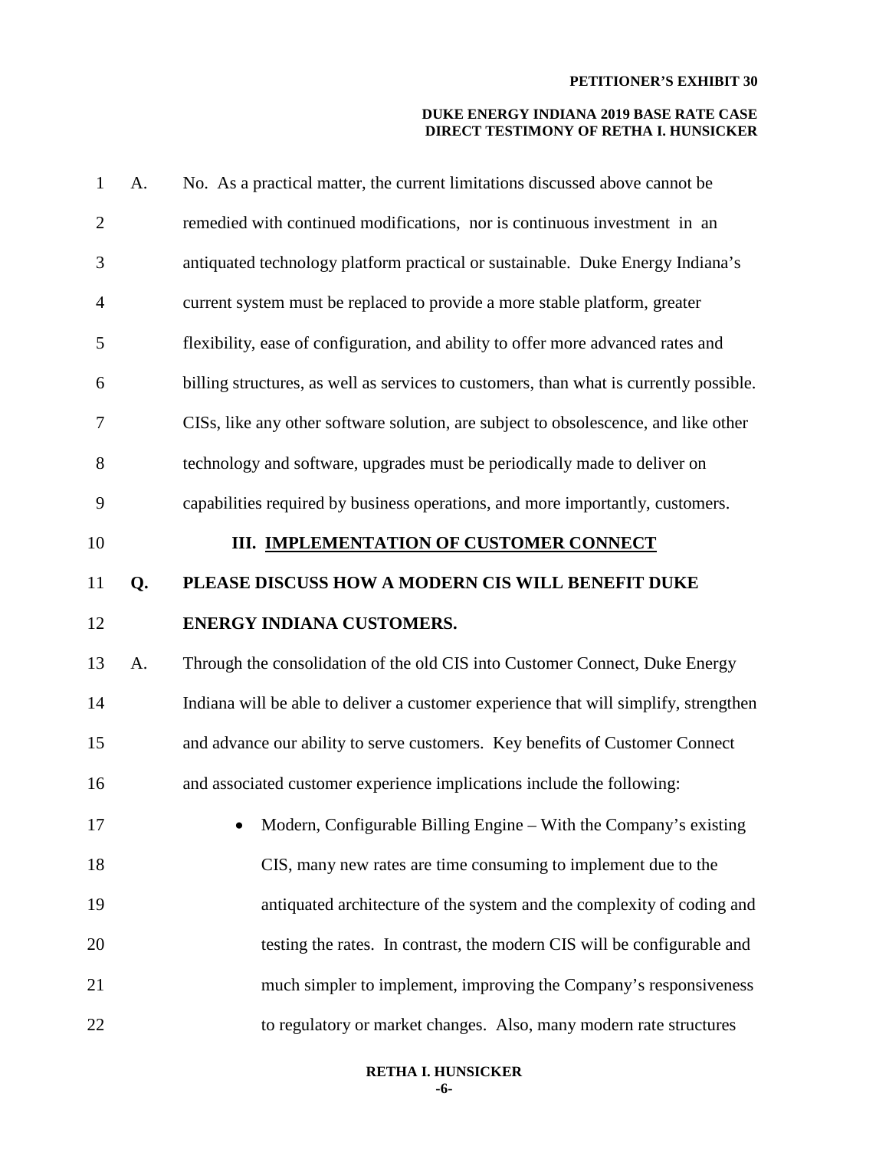| $\mathbf{1}$   | A. | No. As a practical matter, the current limitations discussed above cannot be           |
|----------------|----|----------------------------------------------------------------------------------------|
| $\overline{2}$ |    | remedied with continued modifications, nor is continuous investment in an              |
| 3              |    | antiquated technology platform practical or sustainable. Duke Energy Indiana's         |
| $\overline{4}$ |    | current system must be replaced to provide a more stable platform, greater             |
| 5              |    | flexibility, ease of configuration, and ability to offer more advanced rates and       |
| 6              |    | billing structures, as well as services to customers, than what is currently possible. |
| 7              |    | CISs, like any other software solution, are subject to obsolescence, and like other    |
| 8              |    | technology and software, upgrades must be periodically made to deliver on              |
| 9              |    | capabilities required by business operations, and more importantly, customers.         |
| 10             |    | III. IMPLEMENTATION OF CUSTOMER CONNECT                                                |
| 11             | Q. | PLEASE DISCUSS HOW A MODERN CIS WILL BENEFIT DUKE                                      |
|                |    |                                                                                        |
| 12             |    | ENERGY INDIANA CUSTOMERS.                                                              |
| 13             | A. | Through the consolidation of the old CIS into Customer Connect, Duke Energy            |
| 14             |    | Indiana will be able to deliver a customer experience that will simplify, strengthen   |
| 15             |    | and advance our ability to serve customers. Key benefits of Customer Connect           |
| 16             |    | and associated customer experience implications include the following:                 |
| 17             |    | Modern, Configurable Billing Engine – With the Company's existing                      |
| 18             |    | CIS, many new rates are time consuming to implement due to the                         |
| 19             |    | antiquated architecture of the system and the complexity of coding and                 |
| 20             |    | testing the rates. In contrast, the modern CIS will be configurable and                |
| 21             |    | much simpler to implement, improving the Company's responsiveness                      |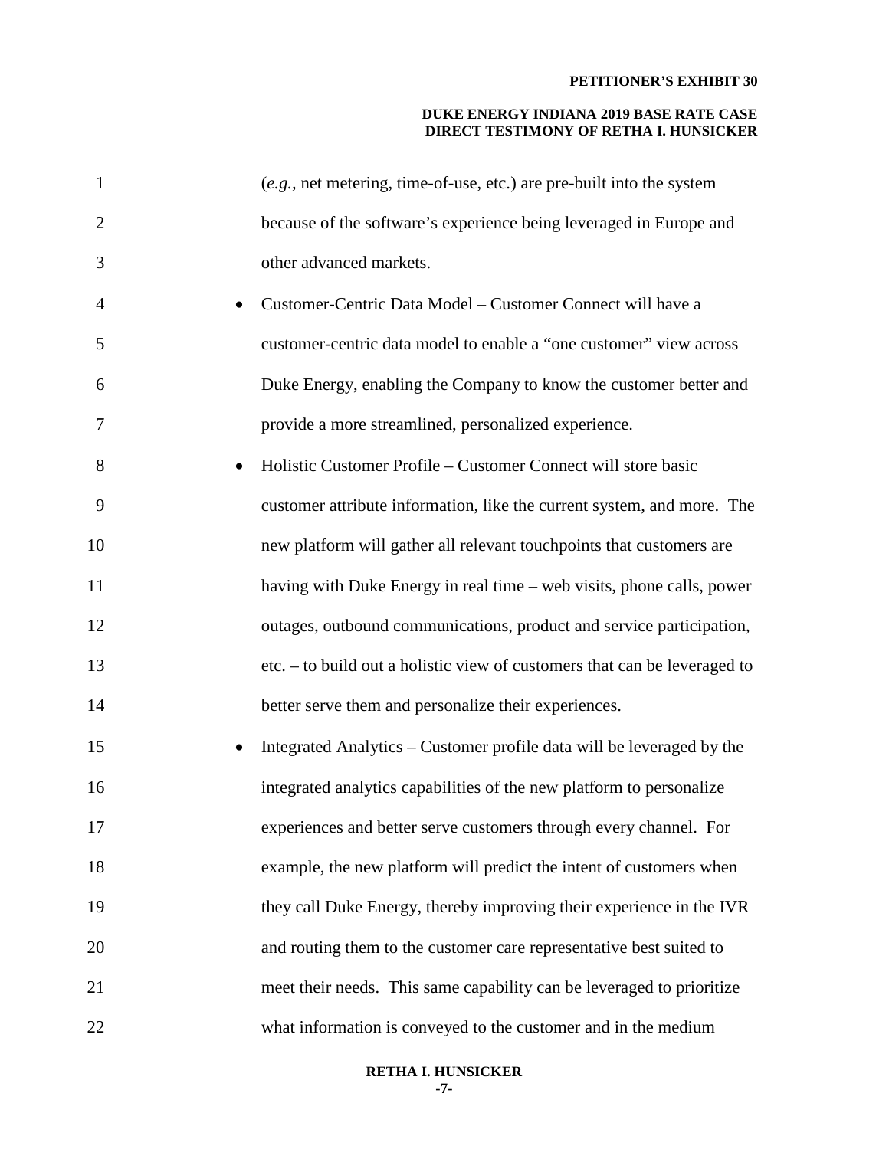#### **DUKE ENERGY INDIANA 2019 BASE RATE CASE DIRECT TESTIMONY OF RETHA I. HUNSICKER**

| $\mathbf{1}$   | $(e.g.,$ net metering, time-of-use, etc.) are pre-built into the system   |
|----------------|---------------------------------------------------------------------------|
| $\overline{2}$ | because of the software's experience being leveraged in Europe and        |
| 3              | other advanced markets.                                                   |
| 4              | Customer-Centric Data Model – Customer Connect will have a                |
| 5              | customer-centric data model to enable a "one customer" view across        |
| 6              | Duke Energy, enabling the Company to know the customer better and         |
| 7              | provide a more streamlined, personalized experience.                      |
| 8              | Holistic Customer Profile – Customer Connect will store basic             |
| 9              | customer attribute information, like the current system, and more. The    |
| 10             | new platform will gather all relevant touchpoints that customers are      |
| 11             | having with Duke Energy in real time – web visits, phone calls, power     |
| 12             | outages, outbound communications, product and service participation,      |
| 13             | etc. – to build out a holistic view of customers that can be leveraged to |
| 14             | better serve them and personalize their experiences.                      |
| 15             | Integrated Analytics – Customer profile data will be leveraged by the     |
| 16             | integrated analytics capabilities of the new platform to personalize      |
| 17             | experiences and better serve customers through every channel. For         |
| 18             | example, the new platform will predict the intent of customers when       |
| 19             | they call Duke Energy, thereby improving their experience in the IVR      |
| 20             | and routing them to the customer care representative best suited to       |
| 21             | meet their needs. This same capability can be leveraged to prioritize     |
| 22             | what information is conveyed to the customer and in the medium            |

**RETHA I. HUNSICKER -7-**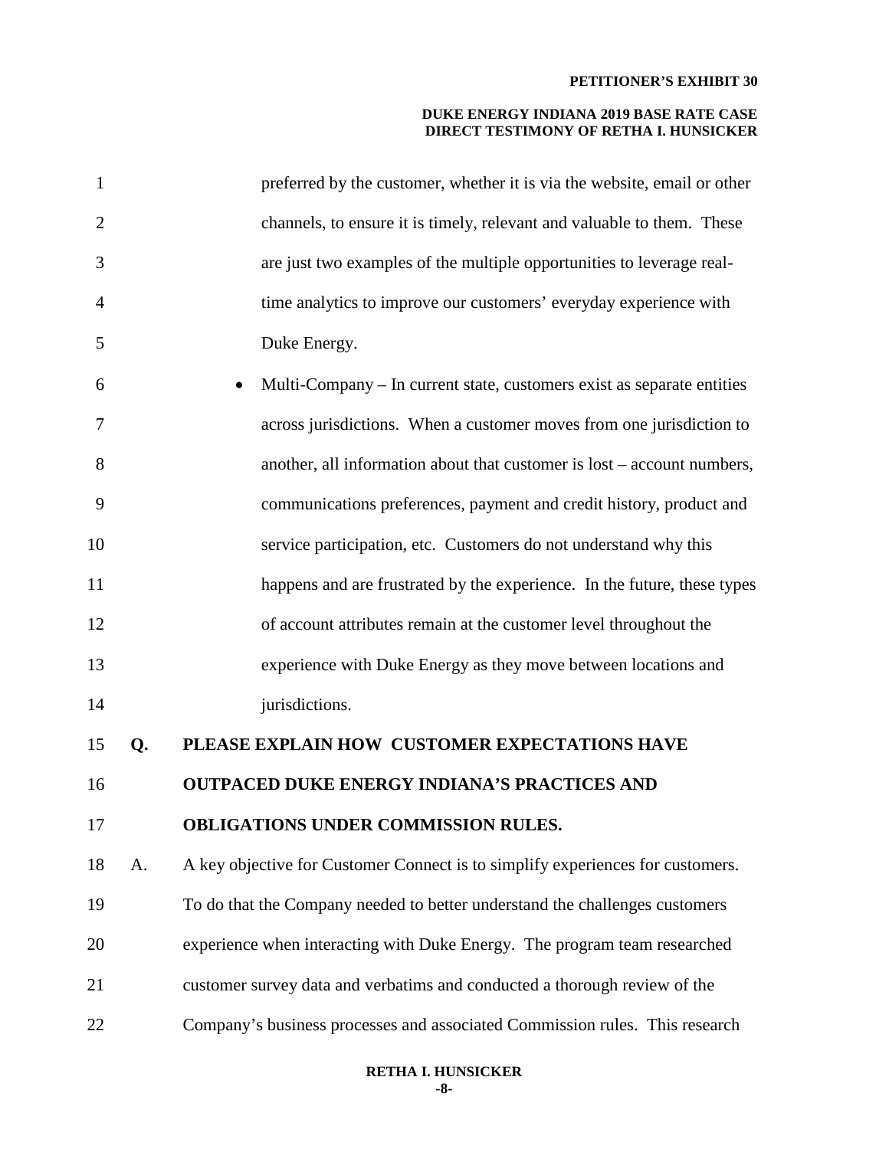| $\mathbf{1}$   |    | preferred by the customer, whether it is via the website, email or other       |
|----------------|----|--------------------------------------------------------------------------------|
| $\overline{2}$ |    | channels, to ensure it is timely, relevant and valuable to them. These         |
| 3              |    | are just two examples of the multiple opportunities to leverage real-          |
| 4              |    | time analytics to improve our customers' everyday experience with              |
| 5              |    | Duke Energy.                                                                   |
| 6              |    | Multi-Company – In current state, customers exist as separate entities         |
| 7              |    | across jurisdictions. When a customer moves from one jurisdiction to           |
| 8              |    | another, all information about that customer is lost - account numbers,        |
| 9              |    | communications preferences, payment and credit history, product and            |
| 10             |    | service participation, etc. Customers do not understand why this               |
| 11             |    | happens and are frustrated by the experience. In the future, these types       |
| 12             |    | of account attributes remain at the customer level throughout the              |
| 13             |    | experience with Duke Energy as they move between locations and                 |
| 14             |    | jurisdictions.                                                                 |
| 15             | Q. | PLEASE EXPLAIN HOW CUSTOMER EXPECTATIONS HAVE                                  |
| 16             |    | <b>OUTPACED DUKE ENERGY INDIANA'S PRACTICES AND</b>                            |
| 17             |    | <b>OBLIGATIONS UNDER COMMISSION RULES.</b>                                     |
| 18             | A. | A key objective for Customer Connect is to simplify experiences for customers. |
| 19             |    | To do that the Company needed to better understand the challenges customers    |
| 20             |    | experience when interacting with Duke Energy. The program team researched      |
| 21             |    | customer survey data and verbatims and conducted a thorough review of the      |
| 22             |    | Company's business processes and associated Commission rules. This research    |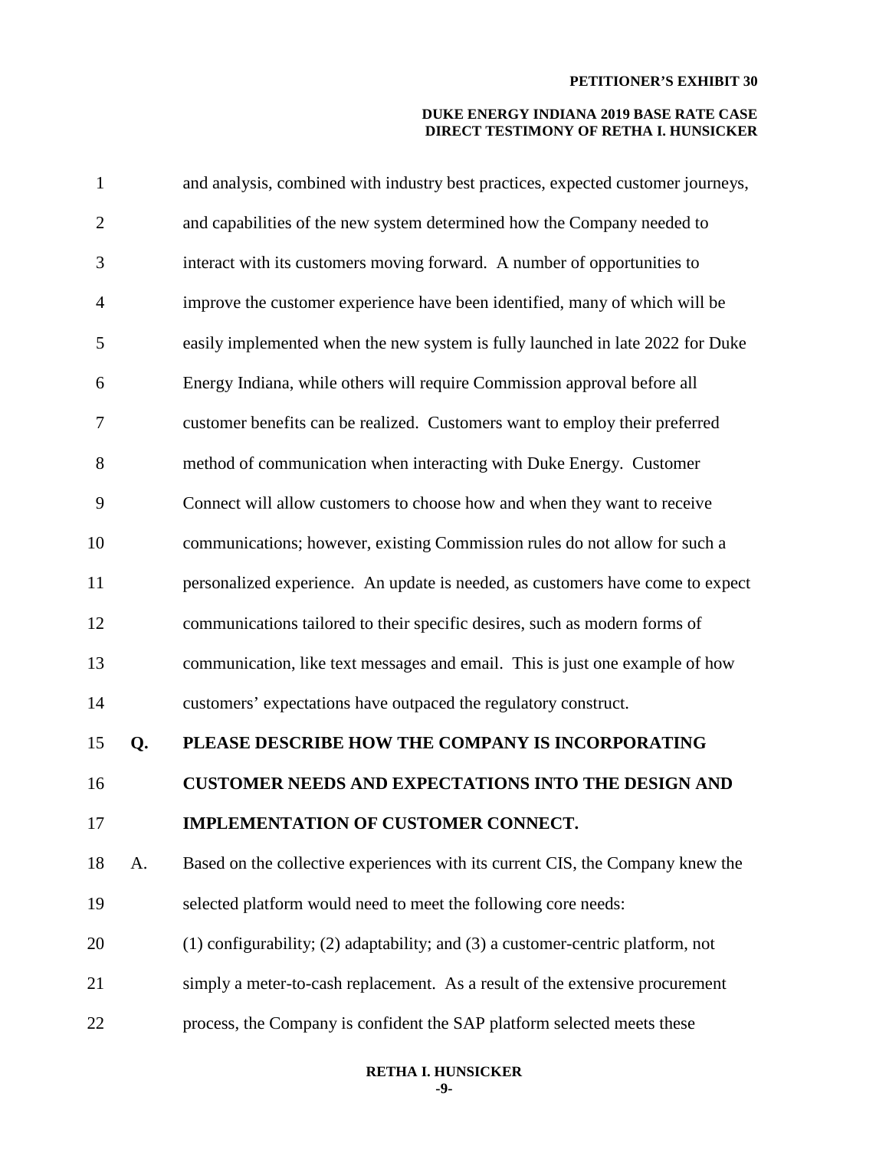#### **DUKE ENERGY INDIANA 2019 BASE RATE CASE DIRECT TESTIMONY OF RETHA I. HUNSICKER**

| $\mathbf{1}$ |    | and analysis, combined with industry best practices, expected customer journeys,      |
|--------------|----|---------------------------------------------------------------------------------------|
| $\mathbf{2}$ |    | and capabilities of the new system determined how the Company needed to               |
| 3            |    | interact with its customers moving forward. A number of opportunities to              |
| 4            |    | improve the customer experience have been identified, many of which will be           |
| 5            |    | easily implemented when the new system is fully launched in late 2022 for Duke        |
| 6            |    | Energy Indiana, while others will require Commission approval before all              |
| 7            |    | customer benefits can be realized. Customers want to employ their preferred           |
| 8            |    | method of communication when interacting with Duke Energy. Customer                   |
| 9            |    | Connect will allow customers to choose how and when they want to receive              |
| 10           |    | communications; however, existing Commission rules do not allow for such a            |
| 11           |    | personalized experience. An update is needed, as customers have come to expect        |
| 12           |    | communications tailored to their specific desires, such as modern forms of            |
| 13           |    | communication, like text messages and email. This is just one example of how          |
| 14           |    | customers' expectations have outpaced the regulatory construct.                       |
| 15           | Q. | PLEASE DESCRIBE HOW THE COMPANY IS INCORPORATING                                      |
| 16           |    | <b>CUSTOMER NEEDS AND EXPECTATIONS INTO THE DESIGN AND</b>                            |
| 17           |    | IMPLEMENTATION OF CUSTOMER CONNECT.                                                   |
| 18           | A. | Based on the collective experiences with its current CIS, the Company knew the        |
| 19           |    | selected platform would need to meet the following core needs:                        |
| 20           |    | $(1)$ configurability; $(2)$ adaptability; and $(3)$ a customer-centric platform, not |
| 21           |    | simply a meter-to-cash replacement. As a result of the extensive procurement          |
| 22           |    | process, the Company is confident the SAP platform selected meets these               |

#### **RETHA I. HUNSICKER -9-**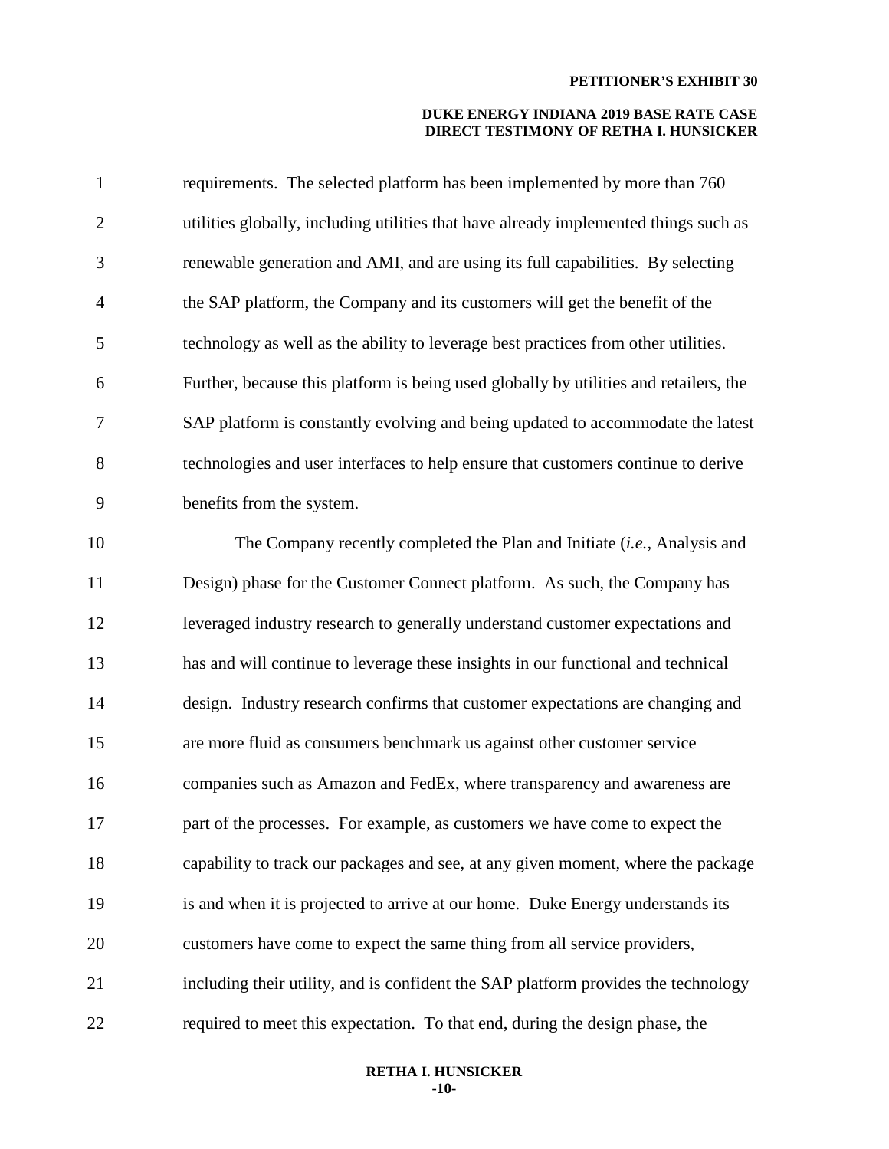#### **DUKE ENERGY INDIANA 2019 BASE RATE CASE DIRECT TESTIMONY OF RETHA I. HUNSICKER**

| $\mathbf{1}$   | requirements. The selected platform has been implemented by more than 760             |
|----------------|---------------------------------------------------------------------------------------|
| $\overline{2}$ | utilities globally, including utilities that have already implemented things such as  |
| 3              | renewable generation and AMI, and are using its full capabilities. By selecting       |
| $\overline{4}$ | the SAP platform, the Company and its customers will get the benefit of the           |
| 5              | technology as well as the ability to leverage best practices from other utilities.    |
| 6              | Further, because this platform is being used globally by utilities and retailers, the |
| 7              | SAP platform is constantly evolving and being updated to accommodate the latest       |
| 8              | technologies and user interfaces to help ensure that customers continue to derive     |
| 9              | benefits from the system.                                                             |
| 10             | The Company recently completed the Plan and Initiate (i.e., Analysis and              |
| 11             | Design) phase for the Customer Connect platform. As such, the Company has             |
| 12             | leveraged industry research to generally understand customer expectations and         |
| 13             | has and will continue to leverage these insights in our functional and technical      |
| 14             | design. Industry research confirms that customer expectations are changing and        |
| 15             | are more fluid as consumers benchmark us against other customer service               |
| 16             | companies such as Amazon and FedEx, where transparency and awareness are              |
| 17             | part of the processes. For example, as customers we have come to expect the           |
| 18             | capability to track our packages and see, at any given moment, where the package      |
| 19             | is and when it is projected to arrive at our home. Duke Energy understands its        |
| 20             | customers have come to expect the same thing from all service providers,              |
| 21             | including their utility, and is confident the SAP platform provides the technology    |
| 22             | required to meet this expectation. To that end, during the design phase, the          |

#### **RETHA I. HUNSICKER -10-**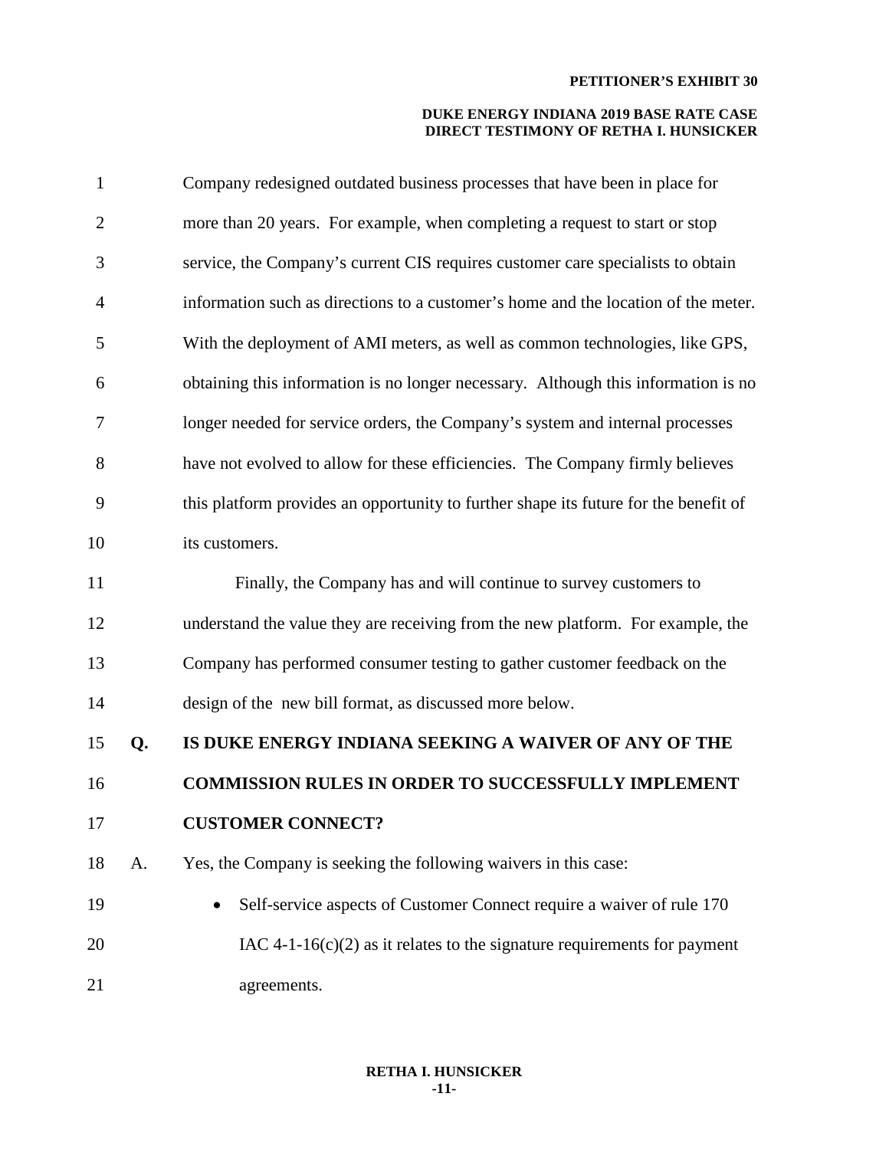| 1              |    | Company redesigned outdated business processes that have been in place for           |
|----------------|----|--------------------------------------------------------------------------------------|
| $\overline{2}$ |    | more than 20 years. For example, when completing a request to start or stop          |
| 3              |    | service, the Company's current CIS requires customer care specialists to obtain      |
| 4              |    | information such as directions to a customer's home and the location of the meter.   |
| 5              |    | With the deployment of AMI meters, as well as common technologies, like GPS,         |
| 6              |    | obtaining this information is no longer necessary. Although this information is no   |
| 7              |    | longer needed for service orders, the Company's system and internal processes        |
| 8              |    | have not evolved to allow for these efficiencies. The Company firmly believes        |
| 9              |    | this platform provides an opportunity to further shape its future for the benefit of |
| 10             |    | its customers.                                                                       |
| 11             |    | Finally, the Company has and will continue to survey customers to                    |
| 12             |    | understand the value they are receiving from the new platform. For example, the      |
| 13             |    | Company has performed consumer testing to gather customer feedback on the            |
| 14             |    | design of the new bill format, as discussed more below.                              |
| 15             | Q. | IS DUKE ENERGY INDIANA SEEKING A WAIVER OF ANY OF THE                                |
| 16             |    | <b>COMMISSION RULES IN ORDER TO SUCCESSFULLY IMPLEMENT</b>                           |
| 17             |    | <b>CUSTOMER CONNECT?</b>                                                             |
| 18             | A. | Yes, the Company is seeking the following waivers in this case:                      |
| 19             |    | Self-service aspects of Customer Connect require a waiver of rule 170                |
| 20             |    | IAC 4-1-16(c)(2) as it relates to the signature requirements for payment             |
| 21             |    | agreements.                                                                          |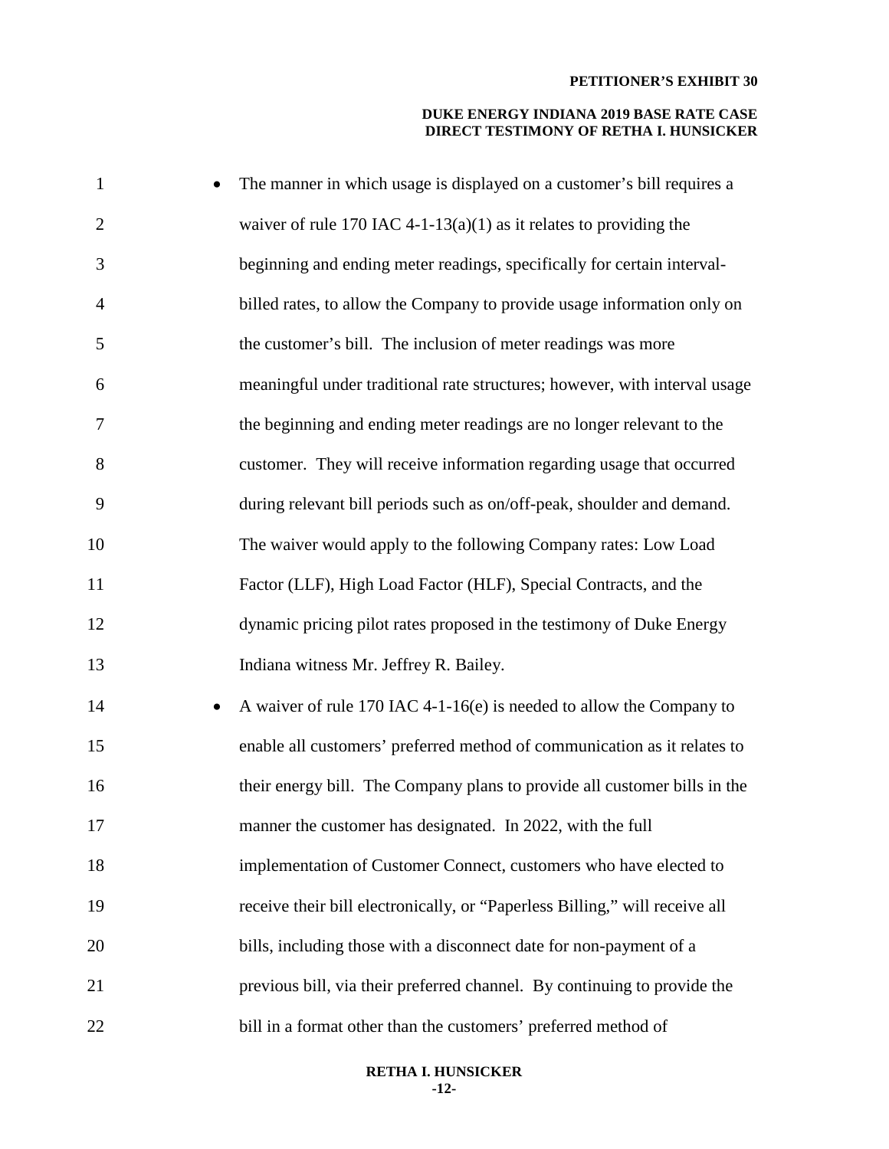#### **DUKE ENERGY INDIANA 2019 BASE RATE CASE DIRECT TESTIMONY OF RETHA I. HUNSICKER**

| $\mathbf{1}$   | The manner in which usage is displayed on a customer's bill requires a            |
|----------------|-----------------------------------------------------------------------------------|
| $\overline{2}$ | waiver of rule 170 IAC 4-1-13(a)(1) as it relates to providing the                |
| 3              | beginning and ending meter readings, specifically for certain interval-           |
| $\overline{4}$ | billed rates, to allow the Company to provide usage information only on           |
| 5              | the customer's bill. The inclusion of meter readings was more                     |
| 6              | meaningful under traditional rate structures; however, with interval usage        |
| 7              | the beginning and ending meter readings are no longer relevant to the             |
| 8              | customer. They will receive information regarding usage that occurred             |
| 9              | during relevant bill periods such as on/off-peak, shoulder and demand.            |
| 10             | The waiver would apply to the following Company rates: Low Load                   |
| 11             | Factor (LLF), High Load Factor (HLF), Special Contracts, and the                  |
| 12             | dynamic pricing pilot rates proposed in the testimony of Duke Energy              |
| 13             | Indiana witness Mr. Jeffrey R. Bailey.                                            |
| 14             | A waiver of rule 170 IAC 4-1-16(e) is needed to allow the Company to<br>$\bullet$ |
| 15             | enable all customers' preferred method of communication as it relates to          |
| 16             | their energy bill. The Company plans to provide all customer bills in the         |
| 17             | manner the customer has designated. In 2022, with the full                        |
| 18             | implementation of Customer Connect, customers who have elected to                 |
| 19             | receive their bill electronically, or "Paperless Billing," will receive all       |
| 20             | bills, including those with a disconnect date for non-payment of a                |
| 21             | previous bill, via their preferred channel. By continuing to provide the          |
| 22             | bill in a format other than the customers' preferred method of                    |

#### **RETHA I. HUNSICKER -12-**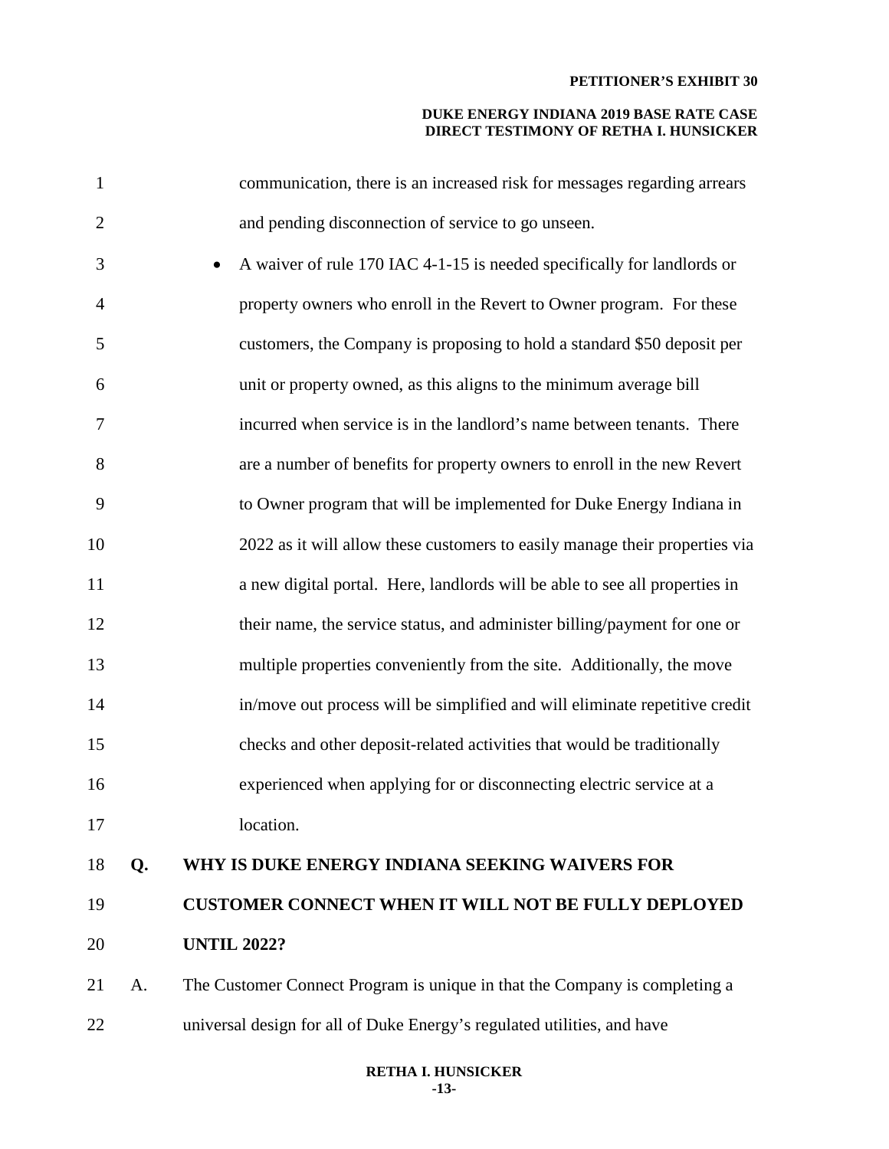#### **DUKE ENERGY INDIANA 2019 BASE RATE CASE DIRECT TESTIMONY OF RETHA I. HUNSICKER**

| 1              |    | communication, there is an increased risk for messages regarding arrears             |
|----------------|----|--------------------------------------------------------------------------------------|
| $\overline{2}$ |    | and pending disconnection of service to go unseen.                                   |
| 3              |    | A waiver of rule 170 IAC 4-1-15 is needed specifically for landlords or<br>$\bullet$ |
| $\overline{4}$ |    | property owners who enroll in the Revert to Owner program. For these                 |
| 5              |    | customers, the Company is proposing to hold a standard \$50 deposit per              |
| 6              |    | unit or property owned, as this aligns to the minimum average bill                   |
| 7              |    | incurred when service is in the landlord's name between tenants. There               |
| 8              |    | are a number of benefits for property owners to enroll in the new Revert             |
| 9              |    | to Owner program that will be implemented for Duke Energy Indiana in                 |
| 10             |    | 2022 as it will allow these customers to easily manage their properties via          |
| 11             |    | a new digital portal. Here, landlords will be able to see all properties in          |
| 12             |    | their name, the service status, and administer billing/payment for one or            |
| 13             |    | multiple properties conveniently from the site. Additionally, the move               |
| 14             |    | in/move out process will be simplified and will eliminate repetitive credit          |
| 15             |    | checks and other deposit-related activities that would be traditionally              |
| 16             |    | experienced when applying for or disconnecting electric service at a                 |
| 17             |    | location.                                                                            |
| 18             | Q. | WHY IS DUKE ENERGY INDIANA SEEKING WAIVERS FOR                                       |
| 19             |    | <b>CUSTOMER CONNECT WHEN IT WILL NOT BE FULLY DEPLOYED</b>                           |
| 20             |    | <b>UNTIL 2022?</b>                                                                   |
| 21             | A. | The Customer Connect Program is unique in that the Company is completing a           |
| 22             |    | universal design for all of Duke Energy's regulated utilities, and have              |

#### **RETHA I. HUNSICKER -13-**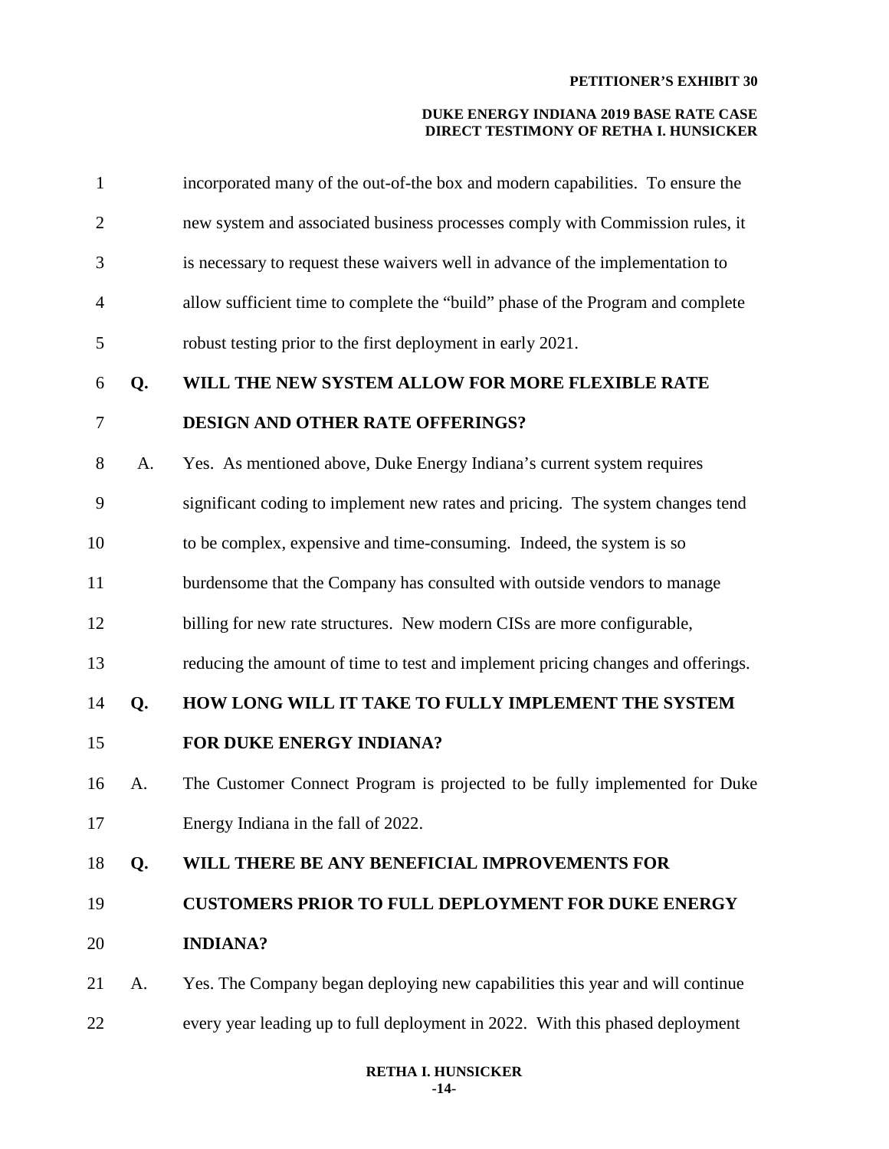| $\mathbf{1}$   |    | incorporated many of the out-of-the box and modern capabilities. To ensure the   |
|----------------|----|----------------------------------------------------------------------------------|
| $\overline{2}$ |    | new system and associated business processes comply with Commission rules, it    |
| 3              |    | is necessary to request these waivers well in advance of the implementation to   |
| 4              |    | allow sufficient time to complete the "build" phase of the Program and complete  |
| 5              |    | robust testing prior to the first deployment in early 2021.                      |
| 6              | Q. | WILL THE NEW SYSTEM ALLOW FOR MORE FLEXIBLE RATE                                 |
| 7              |    | DESIGN AND OTHER RATE OFFERINGS?                                                 |
| 8              | A. | Yes. As mentioned above, Duke Energy Indiana's current system requires           |
| 9              |    | significant coding to implement new rates and pricing. The system changes tend   |
| 10             |    | to be complex, expensive and time-consuming. Indeed, the system is so            |
| 11             |    | burdensome that the Company has consulted with outside vendors to manage         |
| 12             |    | billing for new rate structures. New modern CISs are more configurable,          |
| 13             |    | reducing the amount of time to test and implement pricing changes and offerings. |
| 14             | Q. | HOW LONG WILL IT TAKE TO FULLY IMPLEMENT THE SYSTEM                              |
| 15             |    | FOR DUKE ENERGY INDIANA?                                                         |
| 16             | A. | The Customer Connect Program is projected to be fully implemented for Duke       |
| 17             |    | Energy Indiana in the fall of 2022.                                              |
| 18             | Q. | WILL THERE BE ANY BENEFICIAL IMPROVEMENTS FOR                                    |
| 19             |    | <b>CUSTOMERS PRIOR TO FULL DEPLOYMENT FOR DUKE ENERGY</b>                        |
| 20             |    | <b>INDIANA?</b>                                                                  |
| 21             | A. | Yes. The Company began deploying new capabilities this year and will continue    |
| 22             |    | every year leading up to full deployment in 2022. With this phased deployment    |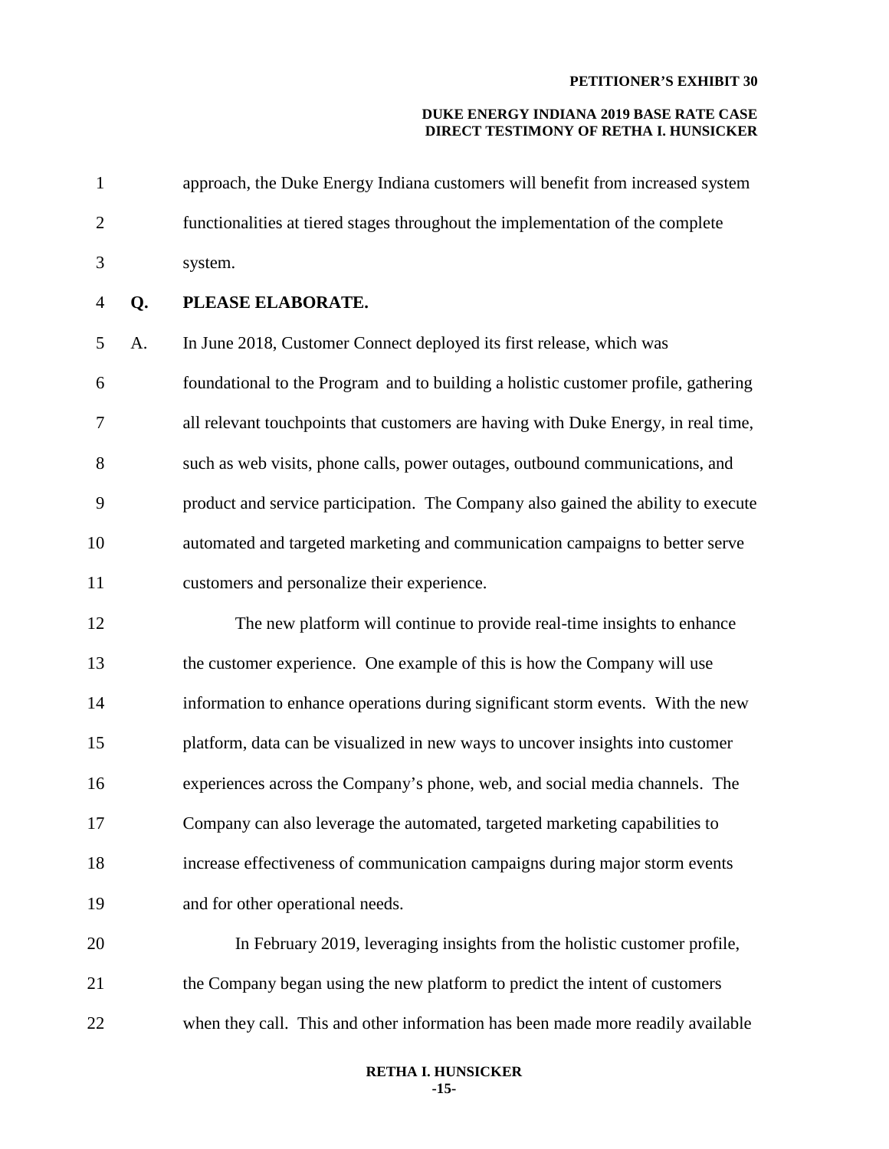#### **DUKE ENERGY INDIANA 2019 BASE RATE CASE DIRECT TESTIMONY OF RETHA I. HUNSICKER**

| $\mathbf{1}$   |    | approach, the Duke Energy Indiana customers will benefit from increased system     |
|----------------|----|------------------------------------------------------------------------------------|
| $\overline{2}$ |    | functionalities at tiered stages throughout the implementation of the complete     |
| 3              |    | system.                                                                            |
| $\overline{4}$ | Q. | PLEASE ELABORATE.                                                                  |
| 5              | A. | In June 2018, Customer Connect deployed its first release, which was               |
| 6              |    | foundational to the Program and to building a holistic customer profile, gathering |
| $\tau$         |    | all relevant touchpoints that customers are having with Duke Energy, in real time, |
| 8              |    | such as web visits, phone calls, power outages, outbound communications, and       |
| 9              |    | product and service participation. The Company also gained the ability to execute  |
| 10             |    | automated and targeted marketing and communication campaigns to better serve       |
| 11             |    | customers and personalize their experience.                                        |
| 12             |    | The new platform will continue to provide real-time insights to enhance            |
| 13             |    | the customer experience. One example of this is how the Company will use           |
| 14             |    | information to enhance operations during significant storm events. With the new    |
| 15             |    | platform, data can be visualized in new ways to uncover insights into customer     |
| 16             |    | experiences across the Company's phone, web, and social media channels. The        |

17 Company can also leverage the automated, targeted marketing capabilities to 18 increase effectiveness of communication campaigns during major storm events 19 and for other operational needs.

20 In February 2019, leveraging insights from the holistic customer profile, 21 the Company began using the new platform to predict the intent of customers 22 when they call. This and other information has been made more readily available

#### **RETHA I. HUNSICKER -15-**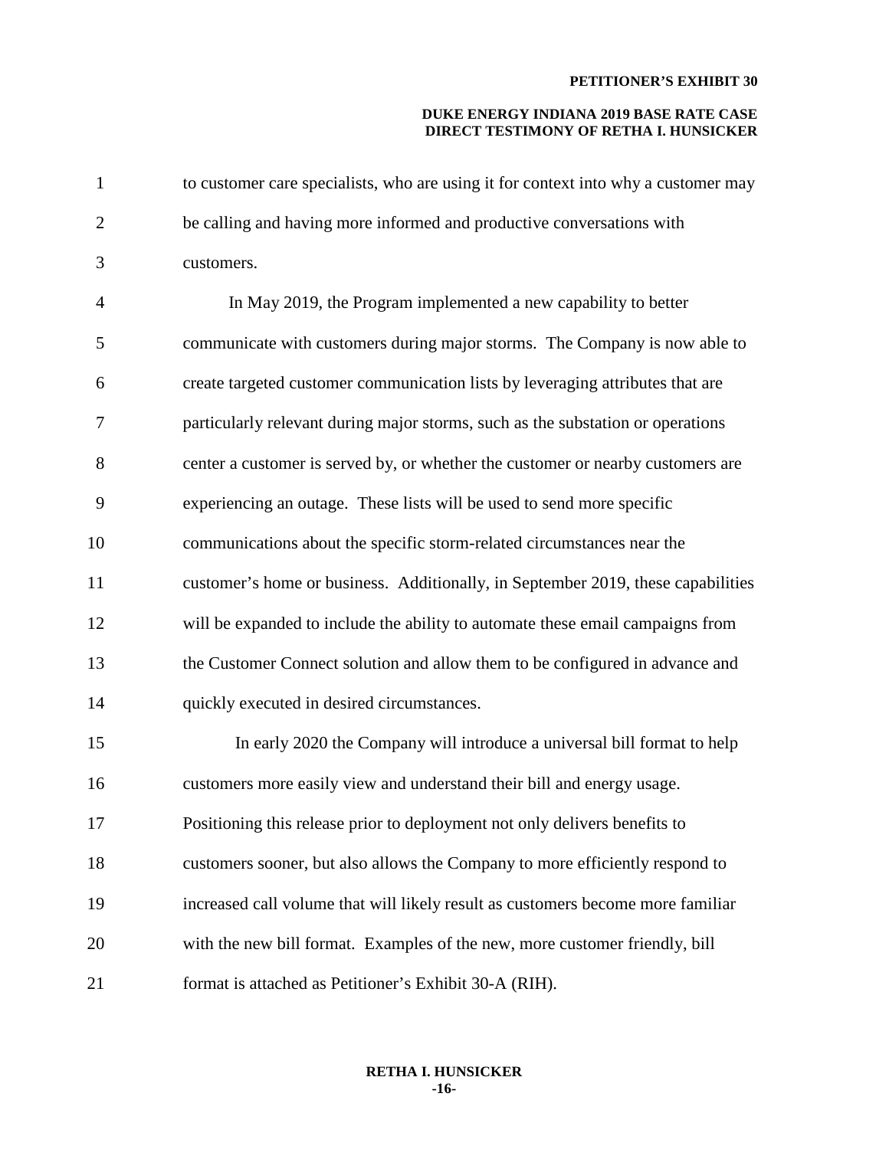| $\mathbf{1}$   | to customer care specialists, who are using it for context into why a customer may |
|----------------|------------------------------------------------------------------------------------|
| $\overline{2}$ | be calling and having more informed and productive conversations with              |
| 3              | customers.                                                                         |
| $\overline{4}$ | In May 2019, the Program implemented a new capability to better                    |
| 5              | communicate with customers during major storms. The Company is now able to         |
| 6              | create targeted customer communication lists by leveraging attributes that are     |
| 7              | particularly relevant during major storms, such as the substation or operations    |
| 8              | center a customer is served by, or whether the customer or nearby customers are    |
| 9              | experiencing an outage. These lists will be used to send more specific             |
| 10             | communications about the specific storm-related circumstances near the             |
| 11             | customer's home or business. Additionally, in September 2019, these capabilities   |
| 12             | will be expanded to include the ability to automate these email campaigns from     |
| 13             | the Customer Connect solution and allow them to be configured in advance and       |
| 14             | quickly executed in desired circumstances.                                         |
| 15             | In early 2020 the Company will introduce a universal bill format to help           |
| 16             | customers more easily view and understand their bill and energy usage.             |
| 17             | Positioning this release prior to deployment not only delivers benefits to         |
| 18             | customers sooner, but also allows the Company to more efficiently respond to       |
| 19             | increased call volume that will likely result as customers become more familiar    |
| 20             | with the new bill format. Examples of the new, more customer friendly, bill        |
| 21             | format is attached as Petitioner's Exhibit 30-A (RIH).                             |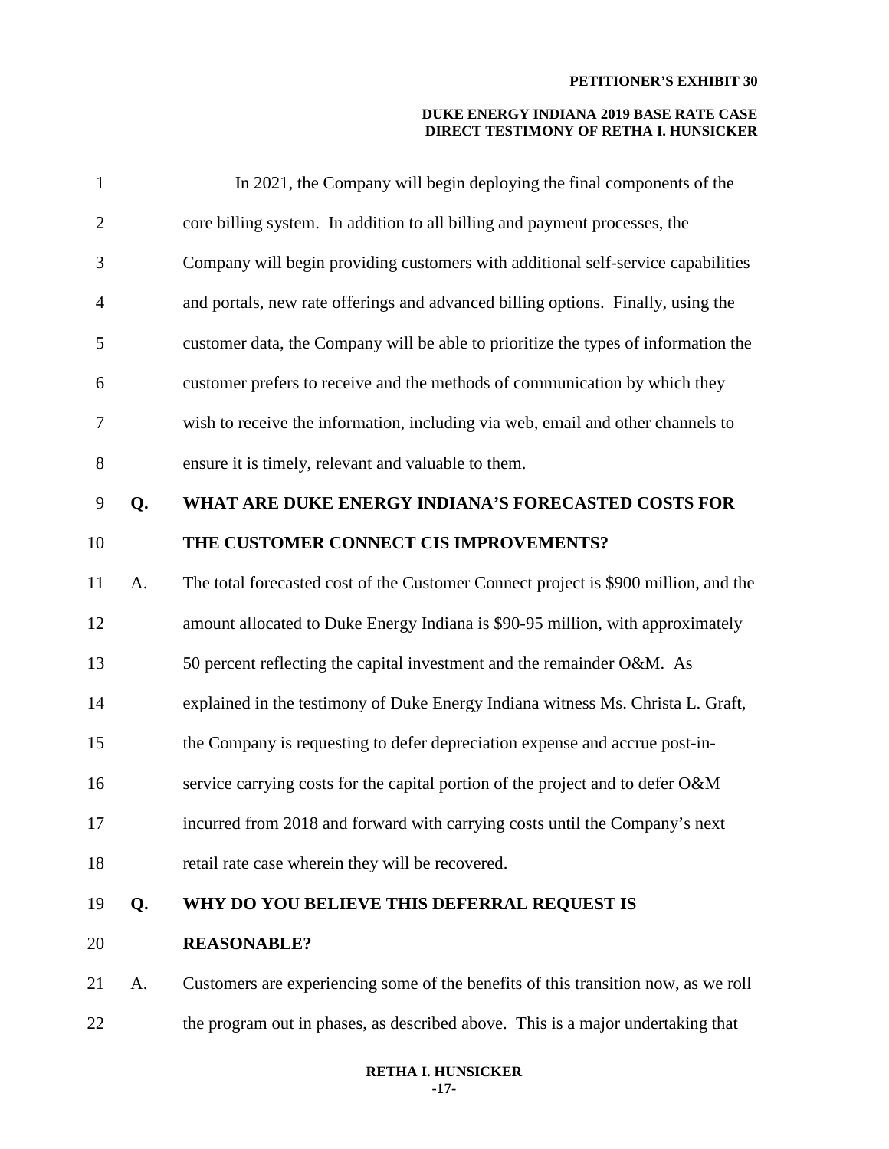| $\mathbf{1}$   |    | In 2021, the Company will begin deploying the final components of the               |
|----------------|----|-------------------------------------------------------------------------------------|
| $\overline{2}$ |    | core billing system. In addition to all billing and payment processes, the          |
| 3              |    | Company will begin providing customers with additional self-service capabilities    |
| $\overline{4}$ |    | and portals, new rate offerings and advanced billing options. Finally, using the    |
| 5              |    | customer data, the Company will be able to prioritize the types of information the  |
| 6              |    | customer prefers to receive and the methods of communication by which they          |
| 7              |    | wish to receive the information, including via web, email and other channels to     |
| $8\,$          |    | ensure it is timely, relevant and valuable to them.                                 |
| $\mathbf{9}$   | Q. | WHAT ARE DUKE ENERGY INDIANA'S FORECASTED COSTS FOR                                 |
| 10             |    | THE CUSTOMER CONNECT CIS IMPROVEMENTS?                                              |
| 11             | A. | The total forecasted cost of the Customer Connect project is \$900 million, and the |
| 12             |    | amount allocated to Duke Energy Indiana is \$90-95 million, with approximately      |
| 13             |    | 50 percent reflecting the capital investment and the remainder O&M. As              |
| 14             |    | explained in the testimony of Duke Energy Indiana witness Ms. Christa L. Graft,     |
| 15             |    | the Company is requesting to defer depreciation expense and accrue post-in-         |
| 16             |    | service carrying costs for the capital portion of the project and to defer O&M      |
| 17             |    | incurred from 2018 and forward with carrying costs until the Company's next         |
| 18             |    | retail rate case wherein they will be recovered.                                    |
| 19             | Q. | WHY DO YOU BELIEVE THIS DEFERRAL REQUEST IS                                         |
| 20             |    | <b>REASONABLE?</b>                                                                  |
| 21             | A. | Customers are experiencing some of the benefits of this transition now, as we roll  |
| 22             |    | the program out in phases, as described above. This is a major undertaking that     |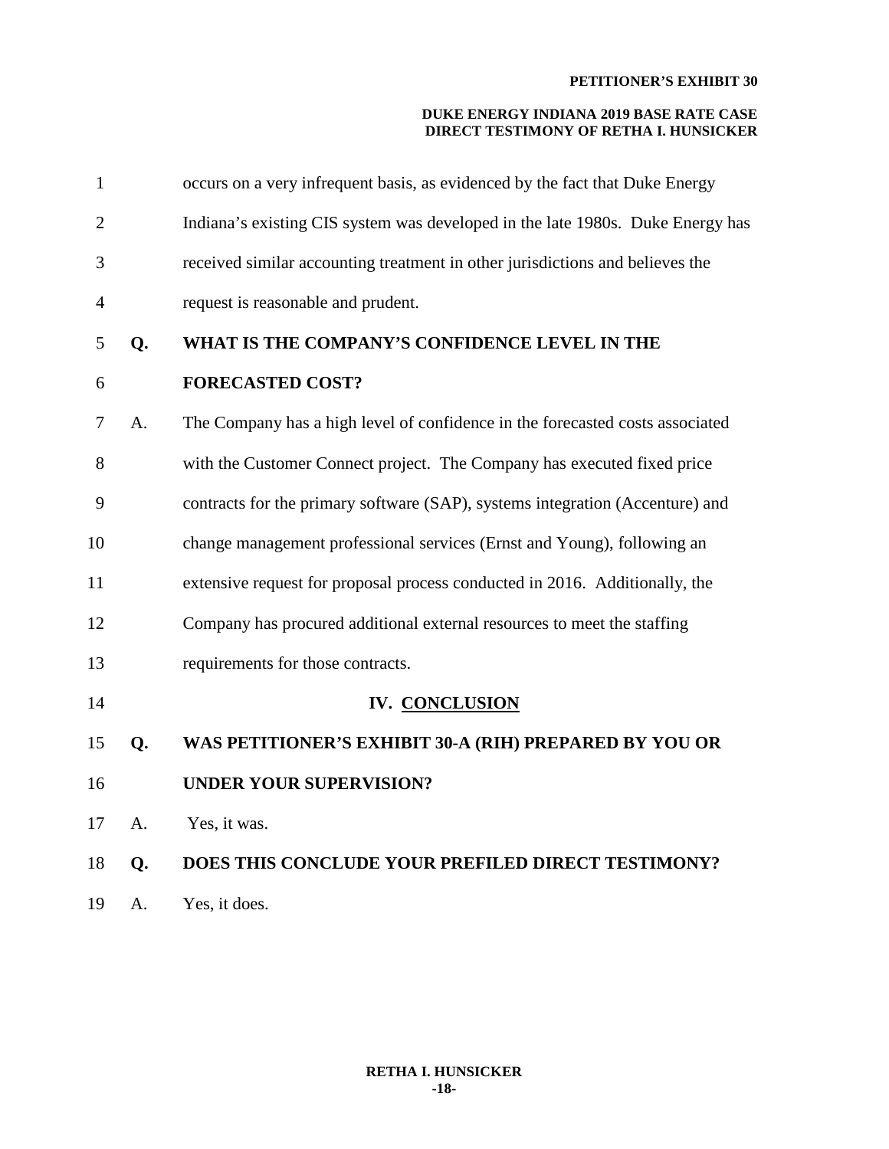| $\mathbf{1}$   |    | occurs on a very infrequent basis, as evidenced by the fact that Duke Energy   |
|----------------|----|--------------------------------------------------------------------------------|
| $\overline{2}$ |    | Indiana's existing CIS system was developed in the late 1980s. Duke Energy has |
| 3              |    | received similar accounting treatment in other jurisdictions and believes the  |
| 4              |    | request is reasonable and prudent.                                             |
| 5              | Q. | WHAT IS THE COMPANY'S CONFIDENCE LEVEL IN THE                                  |
| 6              |    | <b>FORECASTED COST?</b>                                                        |
| 7              | A. | The Company has a high level of confidence in the forecasted costs associated  |
| 8              |    | with the Customer Connect project. The Company has executed fixed price        |
| 9              |    | contracts for the primary software (SAP), systems integration (Accenture) and  |
| 10             |    | change management professional services (Ernst and Young), following an        |
| 11             |    | extensive request for proposal process conducted in 2016. Additionally, the    |
| 12             |    | Company has procured additional external resources to meet the staffing        |
| 13             |    | requirements for those contracts.                                              |
| 14             |    | IV. CONCLUSION                                                                 |
| 15             | Q. | WAS PETITIONER'S EXHIBIT 30-A (RIH) PREPARED BY YOU OR                         |
| 16             |    | <b>UNDER YOUR SUPERVISION?</b>                                                 |
| 17             | A. | Yes, it was.                                                                   |
| 18             | Q. | DOES THIS CONCLUDE YOUR PREFILED DIRECT TESTIMONY?                             |
| 19             | A. | Yes, it does.                                                                  |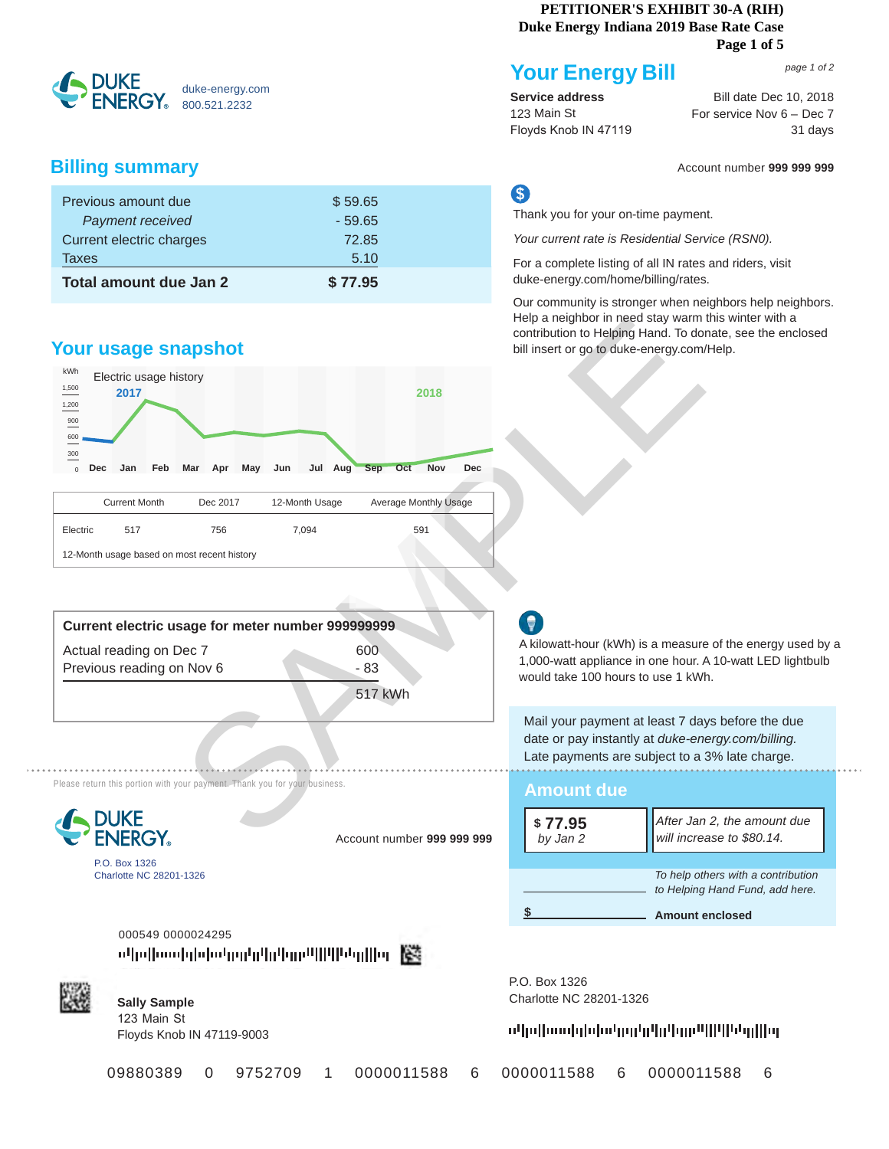#### **PETITIONER'S EXHIBIT 30-A (RIH) Duke Energy Indiana 2019 Base Rate Case**

#### **Page 1 of 5**



## **Billing summary** Account number **999 999 999**

| Previous amount due      | \$59.65  |
|--------------------------|----------|
| Payment received         | $-59.65$ |
| Current electric charges | 72.85    |
| Taxes                    | 5.10     |
| Total amount due Jan 2   | \$77.95  |

## **Your usage snapshot**

12-Month usage based on most recent history



| <b>Your Energy Bill</b> |  |
|-------------------------|--|
|                         |  |
|                         |  |

**Service address** 123 Main St Floyds Knob IN 47119

Bill date Dec 10, 2018 For service Nov 6 – Dec 7 31 days visit us at www.duke-energy.com<br>And the sense of the sense of the sense of the sense of the sense of the sense of the sense of the sense of th

*page 1 of 2*

## S

Thank you for your on-time payment.

*Your current rate is Residential Service (RSN0).*

For a complete listing of all IN rates and riders, visit duke-energy.com/home/billing/rates.

Our community is stronger when neighbors help neighbors. Help a neighbor in need stay warm this winter with a contribution to Helping Hand. To donate, see the enclosed bill insert or go to duke-energy.com/Help.

| Current electric usage for meter number 999999999 |         |
|---------------------------------------------------|---------|
| Actual reading on Dec 7                           | 600     |
| Previous reading on Nov 6                         | - 83    |
|                                                   | 517 kWh |

Electric 517 756 7,094 591

Please return this portion with your payment. Thank you for your business



P.O. Box 1326 Charlotte NC 28201-1326 Account number **999 999 999** *by Jan 2*

000549 0000024295 o4pdboodglobehedgh4da4me4004Pegdlbg【签



**Sally Sample** 123 Main St Floyds Knob IN 47119-9003 P.O. Box 1326 **Sally Sample** Charlotte NC 28201-1326

**Amount due**

**\$ 77.95**

### սկսիսակիկակրի<mark>դկրիրակիկիկակից</mark>

an 2 **b** will increase to \$80.14.

Mail your payment at least 7 days before the due date or pay instantly at *duke-energy.com/billing.*  Late payments are subject to a 3% late charge.

would take 100 hours to use 1 kWh.

A kilowatt-hour (kWh) is a measure of the energy used by a 1,000-watt appliance in one hour. A 10-watt LED lightbulb

09880389 0 9752709 1 0000011588 6 0000011588 6 0000011588 6

 **\$ Amount enclosed** 

*To help others with a contribution to Helping Hand Fund, add here.* 

*After Jan 2, the amount due*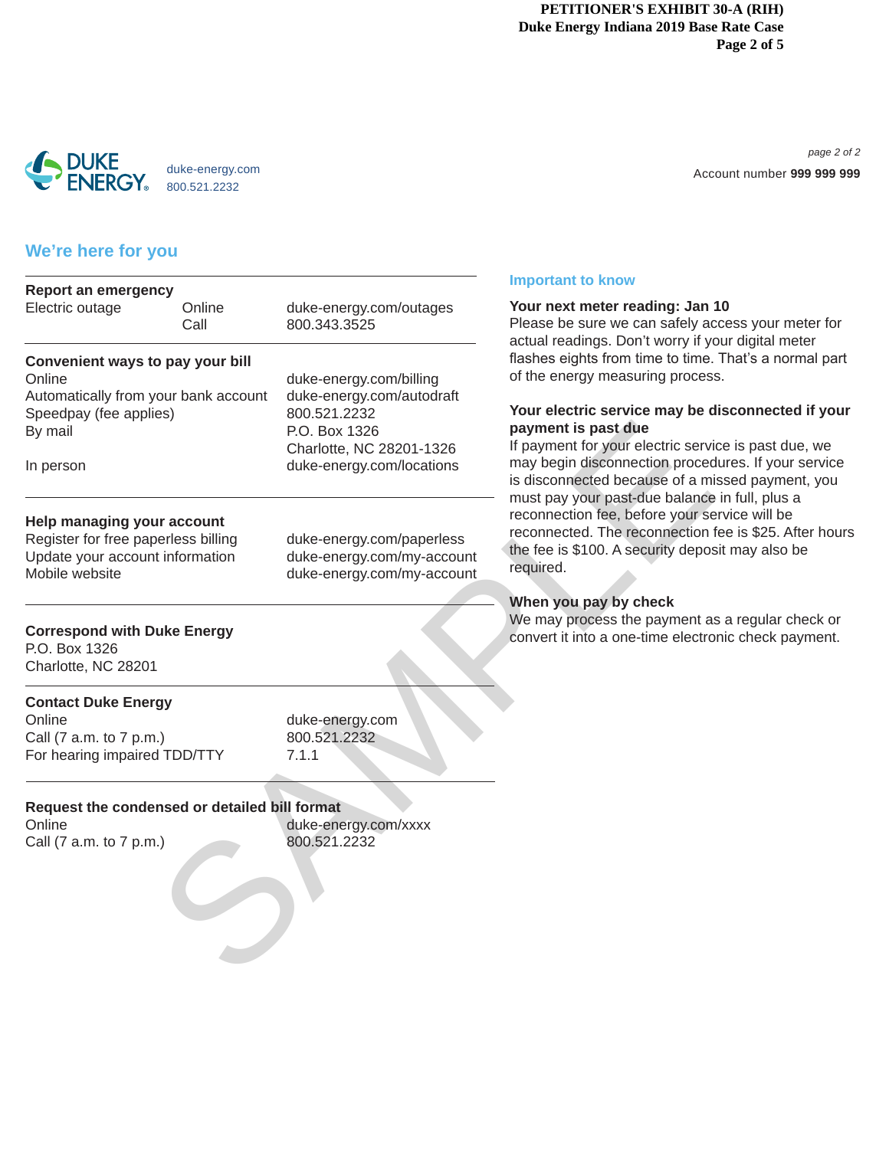#### **PETITIONER'S EXHIBIT 30-A (RIH) Duke Energy Indiana 2019 Base Rate Case Page 2 of 5**



Visit us at www.duke-energy.com *page 2 of 2* Account number **999 999 999**

## **We're here for you**

| <b>Report an emergency</b><br>Online<br>Call | duke-energy.com/outages<br>800.343.3525                                                                                                                                                                                                                                                                        | Your next meter reading: Jan<br>Please be sure we can safely a<br>actual readings. Don't worry if y                                                                                                                                                                                                                                                                                       |  |
|----------------------------------------------|----------------------------------------------------------------------------------------------------------------------------------------------------------------------------------------------------------------------------------------------------------------------------------------------------------------|-------------------------------------------------------------------------------------------------------------------------------------------------------------------------------------------------------------------------------------------------------------------------------------------------------------------------------------------------------------------------------------------|--|
|                                              | duke-energy.com/billing<br>duke-energy.com/autodraft<br>800.521.2232<br>P.O. Box 1326<br>Charlotte, NC 28201-1326<br>duke-energy.com/locations                                                                                                                                                                 | flashes eights from time to time<br>of the energy measuring proces<br>Your electric service may be<br>payment is past due<br>If payment for your electric serv<br>may begin disconnection proce<br>is disconnected because of a m<br>must pay your past-due balance<br>reconnection fee, before your s<br>reconnected. The reconnection<br>the fee is \$100. A security depo<br>required. |  |
|                                              | duke-energy.com/paperless<br>duke-energy.com/my-account<br>duke-energy.com/my-account                                                                                                                                                                                                                          |                                                                                                                                                                                                                                                                                                                                                                                           |  |
|                                              |                                                                                                                                                                                                                                                                                                                | When you pay by check<br>We may process the payment a<br>convert it into a one-time electro                                                                                                                                                                                                                                                                                               |  |
|                                              | duke-energy.com<br>800.521.2232<br>7.1.1                                                                                                                                                                                                                                                                       |                                                                                                                                                                                                                                                                                                                                                                                           |  |
|                                              | duke-energy.com/xxxx<br>800.521.2232                                                                                                                                                                                                                                                                           |                                                                                                                                                                                                                                                                                                                                                                                           |  |
|                                              | Convenient ways to pay your bill<br>Automatically from your bank account<br>Speedpay (fee applies)<br>Help managing your account<br>Register for free paperless billing<br>Update your account information<br><b>Correspond with Duke Energy</b><br><b>Contact Duke Energy</b><br>For hearing impaired TDD/TTY | Request the condensed or detailed bill format                                                                                                                                                                                                                                                                                                                                             |  |

#### **Important to know**

#### **Your next meter reading: Jan 10**

lease be sure we can safely access your meter for ctual readings. Don't worry if your digital meter ashes eights from time to time. That's a normal part f the energy measuring process.

#### **Your electric service may be disconnected if your payment is past due**

payment for your electric service is past due, we hay begin disconnection procedures. If your service disconnected because of a missed payment, you must pay your past-due balance in full, plus a econnection fee, before your service will be econnected. The reconnection fee is \$25. After hours he fee is \$100. A security deposit may also be equired.

#### **When you pay by check**

We may process the payment as a regular check or convert it into a one-time electronic check payment.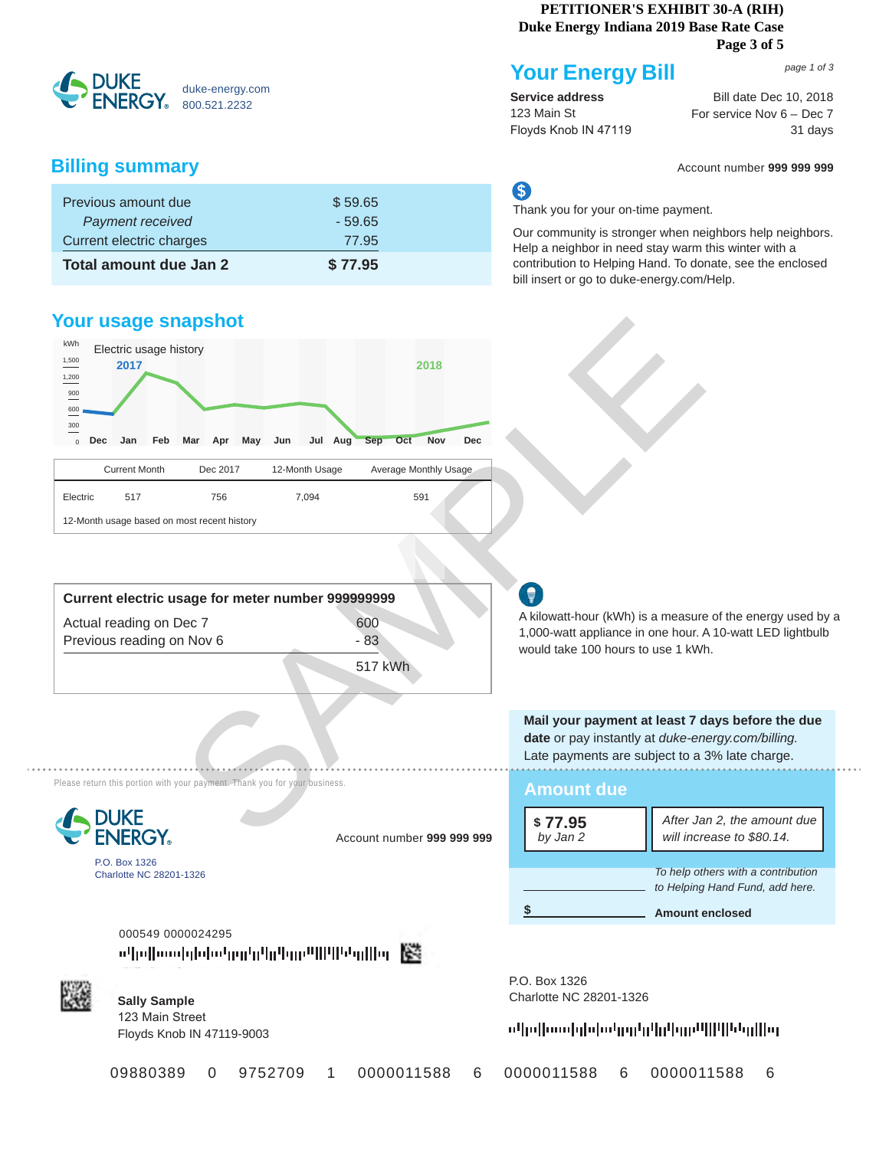#### **PETITIONER'S EXHIBIT 30-A (RIH) Duke Energy Indiana 2019 Base Rate Case**

**Page 3 of 5**

**SPUKE** duke-energy.com 800.521.2232

## **Billing summary** Account number **999 999 999**

| Total amount due Jan 2   | \$77.95  |  |
|--------------------------|----------|--|
| Current electric charges | 77.95    |  |
| Payment received         | $-59.65$ |  |
| Previous amount due      | \$59.65  |  |

## **Your usage snapshot**



| Current electric usage for meter number 999999999    |              |  |
|------------------------------------------------------|--------------|--|
| Actual reading on Dec 7<br>Previous reading on Nov 6 | 600<br>$-83$ |  |
|                                                      | 517 kWh      |  |

A kilowatt-hour (kWh) is a measure of the energy used by a 1,000-watt appliance in one hour. A 10-watt LED lightbulb would take 100 hours to use 1 kWh.

**Mail your payment at least 7 days before the due date** or pay instantly at *duke-energy.com/billing.*  Late payments are subject to a 3% late charge. . . . . . . . . .

| <b>Amount due</b>    |                                                                                                 |
|----------------------|-------------------------------------------------------------------------------------------------|
| $$77.95$<br>by Jan 2 | After Jan 2, the amount due<br>will increase to \$80.14.                                        |
|                      | To help others with a contribution<br>to Helping Hand Fund, add here.<br><b>Amount enclosed</b> |

P.O. Box 1326 **Sally Sample** Charlotte NC 28201-1326

ոկոիսաիլիիսկրիրկրիային կազմին կար

000549 0000024295 페페wwbbbbbgghthhppmmmmlhbomllor ||<



P.O. Box 1326 Charlotte NC 28201-1326

**DUKE** 

**Sally Sample** 123 Main Street Floyds Knob IN 47119-9003

Please return this portion with your payment. Thank you for your business.

09880389 0 9752709 1 0000011588 6 0000011588 6 0000011588 6

Account number **999 999 999** *by Jan 2*

*page 1 of 3*

**Service address** 123 Main St Floyds Knob IN 47119

**Your Energy Bill**

Bill date Dec 10, 2018 address and Bill date Dec 10, 2018<br>St For service Nov 6 – Dec 7 31 days

## S

Thank you for your on-time payment.

Our community is stronger when neighbors help neighbors. Help a neighbor in need stay warm this winter with a contribution to Helping Hand. To donate, see the enclosed bill insert or go to duke-energy.com/Help.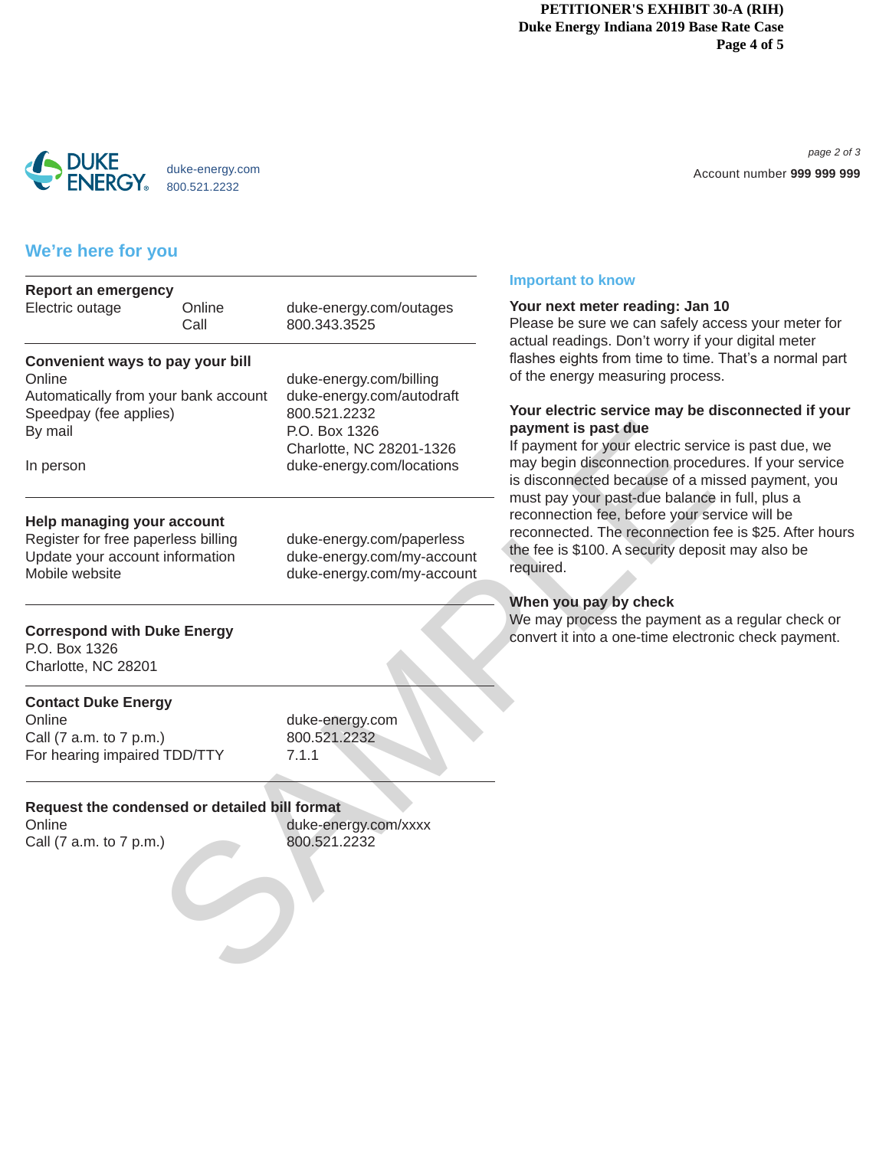#### **PETITIONER'S EXHIBIT 30-A (RIH) Duke Energy Indiana 2019 Base Rate Case Page 4 of 5**



Visit us at www.duke-energy.com *page 2 of 3* Account number **999 999 999**

## **We're here for you**

| Your next meter reading: Jan<br>Please be sure we can safely a<br>actual readings. Don't worry if y<br>flashes eights from time to time<br>of the energy measuring proces<br>Your electric service may be<br>payment is past due<br>If payment for your electric serv<br>may begin disconnection proce<br>is disconnected because of a m<br>must pay your past-due balance<br>reconnection fee, before your se<br>reconnected. The reconnection<br>the fee is \$100. A security depo<br>required. |  |                                                                                             |
|---------------------------------------------------------------------------------------------------------------------------------------------------------------------------------------------------------------------------------------------------------------------------------------------------------------------------------------------------------------------------------------------------------------------------------------------------------------------------------------------------|--|---------------------------------------------------------------------------------------------|
|                                                                                                                                                                                                                                                                                                                                                                                                                                                                                                   |  | When you pay by check<br>We may process the payment a<br>convert it into a one-time electro |
|                                                                                                                                                                                                                                                                                                                                                                                                                                                                                                   |  |                                                                                             |
|                                                                                                                                                                                                                                                                                                                                                                                                                                                                                                   |  |                                                                                             |
|                                                                                                                                                                                                                                                                                                                                                                                                                                                                                                   |  |                                                                                             |

#### **Important to know**

#### **Your next meter reading: Jan 10**

lease be sure we can safely access your meter for ctual readings. Don't worry if your digital meter ashes eights from time to time. That's a normal part f the energy measuring process.

#### **Your electric service may be disconnected if your payment is past due**

payment for your electric service is past due, we hay begin disconnection procedures. If your service disconnected because of a missed payment, you must pay your past-due balance in full, plus a econnection fee, before your service will be econnected. The reconnection fee is \$25. After hours he fee is \$100. A security deposit may also be equired.

#### **When you pay by check**

We may process the payment as a regular check or convert it into a one-time electronic check payment.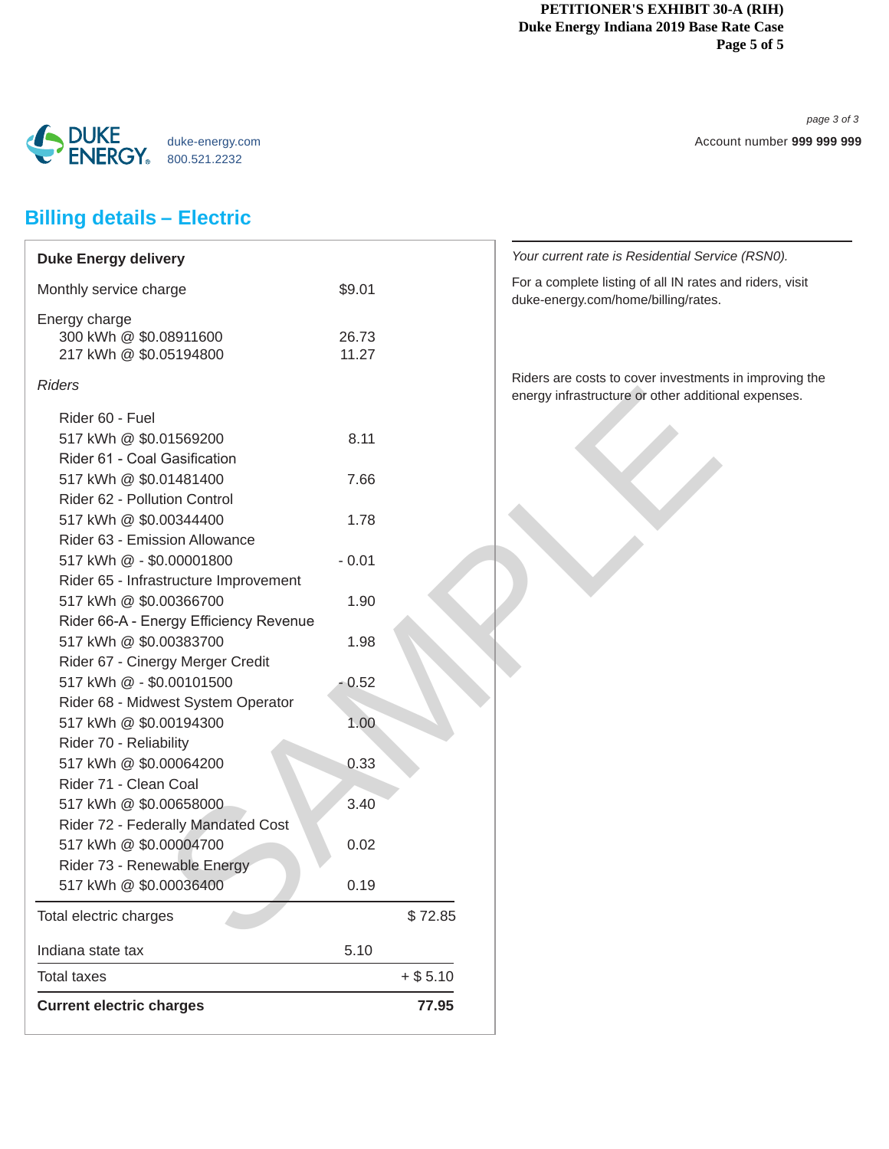#### **PETITIONER'S EXHIBIT 30-A (RIH) Duke Energy Indiana 2019 Base Rate Case Page 5 of 5**

*page 3 of 3* Account number **999 999 999**



# **Billing details – Electric**

| <b>Duke Energy delivery</b>            |         |            | Your current rate is Residential Sen                                           |
|----------------------------------------|---------|------------|--------------------------------------------------------------------------------|
| Monthly service charge                 | \$9.01  |            | For a complete listing of all IN rates<br>duke-energy.com/home/billing/rates   |
| Energy charge                          |         |            |                                                                                |
| 300 kWh @ \$0.08911600                 | 26.73   |            |                                                                                |
| 217 kWh @ \$0.05194800                 | 11.27   |            |                                                                                |
| <b>Riders</b>                          |         |            | Riders are costs to cover investmen<br>energy infrastructure or other addition |
| Rider 60 - Fuel                        |         |            |                                                                                |
| 517 kWh @ \$0.01569200                 | 8.11    |            |                                                                                |
| Rider 61 - Coal Gasification           |         |            |                                                                                |
| 517 kWh @ \$0.01481400                 | 7.66    |            |                                                                                |
| Rider 62 - Pollution Control           |         |            |                                                                                |
| 517 kWh @ \$0.00344400                 | 1.78    |            |                                                                                |
| Rider 63 - Emission Allowance          |         |            |                                                                                |
| 517 kWh @ - \$0.00001800               | $-0.01$ |            |                                                                                |
| Rider 65 - Infrastructure Improvement  |         |            |                                                                                |
| 517 kWh @ \$0.00366700                 | 1.90    |            |                                                                                |
| Rider 66-A - Energy Efficiency Revenue |         |            |                                                                                |
| 517 kWh @ \$0.00383700                 | 1.98    |            |                                                                                |
| Rider 67 - Cinergy Merger Credit       |         |            |                                                                                |
| 517 kWh @ - \$0.00101500               | $-0.52$ |            |                                                                                |
| Rider 68 - Midwest System Operator     |         |            |                                                                                |
| 517 kWh @ \$0.00194300                 | 1.00    |            |                                                                                |
| Rider 70 - Reliability                 |         |            |                                                                                |
| 517 kWh @ \$0.00064200                 | 0.33    |            |                                                                                |
| Rider 71 - Clean Coal                  |         |            |                                                                                |
| 517 kWh @ \$0.00658000                 | 3.40    |            |                                                                                |
| Rider 72 - Federally Mandated Cost     |         |            |                                                                                |
| 517 kWh @ \$0.00004700                 | 0.02    |            |                                                                                |
| Rider 73 - Renewable Energy            |         |            |                                                                                |
| 517 kWh @ \$0.00036400                 | 0.19    |            |                                                                                |
| Total electric charges                 |         | \$72.85    |                                                                                |
| Indiana state tax                      | 5.10    |            |                                                                                |
| <b>Total taxes</b>                     |         | $+$ \$5.10 |                                                                                |
| <b>Current electric charges</b>        |         | 77.95      |                                                                                |
|                                        |         |            |                                                                                |

*If rate is Residential Service (RSN0).* lete listing of all IN rates and riders, visit y.com/home/billing/rates. costs to cover investments in improving the astructure or other additional expenses.